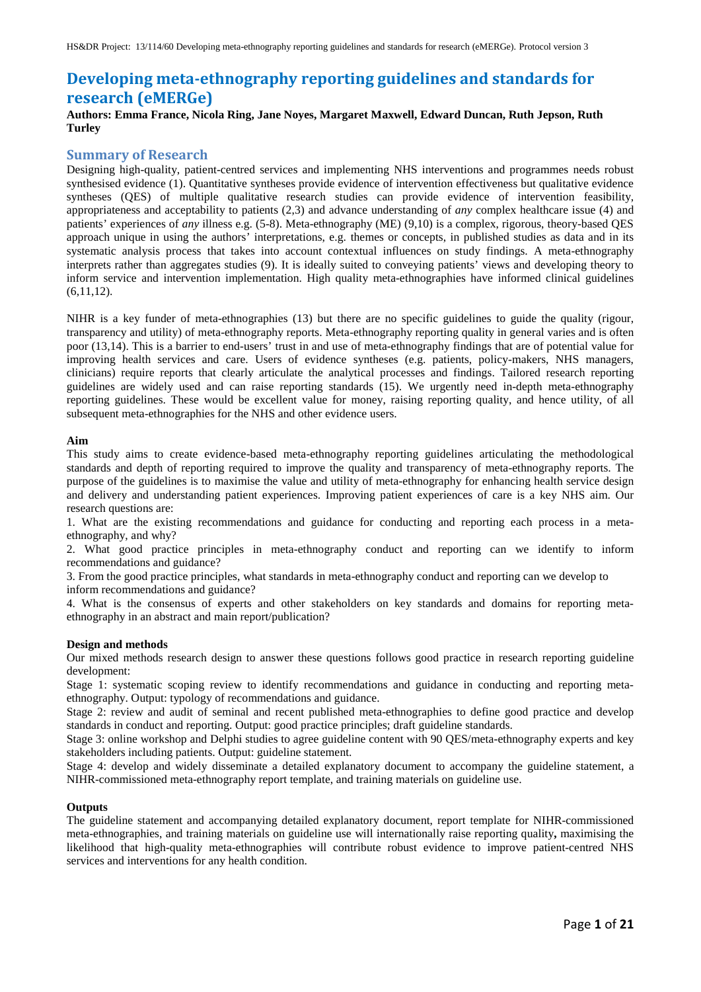# **Developing meta-ethnography reporting guidelines and standards for research (eMERGe)**

# **Authors: Emma France, Nicola Ring, Jane Noyes, Margaret Maxwell, Edward Duncan, Ruth Jepson, Ruth Turley**

# **Summary of Research**

Designing high-quality, patient-centred services and implementing NHS interventions and programmes needs robust synthesised evidence (1). Quantitative syntheses provide evidence of intervention effectiveness but qualitative evidence syntheses (QES) of multiple qualitative research studies can provide evidence of intervention feasibility, appropriateness and acceptability to patients (2,3) and advance understanding of *any* complex healthcare issue (4) and patients' experiences of *any* illness e.g. (5-8). Meta-ethnography (ME) (9,10) is a complex, rigorous, theory-based QES approach unique in using the authors' interpretations, e.g. themes or concepts, in published studies as data and in its systematic analysis process that takes into account contextual influences on study findings. A meta-ethnography interprets rather than aggregates studies (9). It is ideally suited to conveying patients' views and developing theory to inform service and intervention implementation. High quality meta-ethnographies have informed clinical guidelines  $(6,11,12)$ .

NIHR is a key funder of meta-ethnographies (13) but there are no specific guidelines to guide the quality (rigour, transparency and utility) of meta-ethnography reports. Meta-ethnography reporting quality in general varies and is often poor (13,14). This is a barrier to end-users' trust in and use of meta-ethnography findings that are of potential value for improving health services and care. Users of evidence syntheses (e.g. patients, policy-makers, NHS managers, clinicians) require reports that clearly articulate the analytical processes and findings. Tailored research reporting guidelines are widely used and can raise reporting standards (15). We urgently need in-depth meta-ethnography reporting guidelines. These would be excellent value for money, raising reporting quality, and hence utility, of all subsequent meta-ethnographies for the NHS and other evidence users.

### **Aim**

This study aims to create evidence-based meta-ethnography reporting guidelines articulating the methodological standards and depth of reporting required to improve the quality and transparency of meta-ethnography reports. The purpose of the guidelines is to maximise the value and utility of meta-ethnography for enhancing health service design and delivery and understanding patient experiences. Improving patient experiences of care is a key NHS aim. Our research questions are:

1. What are the existing recommendations and guidance for conducting and reporting each process in a metaethnography, and why?

2. What good practice principles in meta-ethnography conduct and reporting can we identify to inform recommendations and guidance?

3. From the good practice principles, what standards in meta-ethnography conduct and reporting can we develop to inform recommendations and guidance?

4. What is the consensus of experts and other stakeholders on key standards and domains for reporting metaethnography in an abstract and main report/publication?

### **Design and methods**

Our mixed methods research design to answer these questions follows good practice in research reporting guideline development:

Stage 1: systematic scoping review to identify recommendations and guidance in conducting and reporting metaethnography. Output: typology of recommendations and guidance.

Stage 2: review and audit of seminal and recent published meta-ethnographies to define good practice and develop standards in conduct and reporting. Output: good practice principles; draft guideline standards.

Stage 3: online workshop and Delphi studies to agree guideline content with 90 QES/meta-ethnography experts and key stakeholders including patients. Output: guideline statement.

Stage 4: develop and widely disseminate a detailed explanatory document to accompany the guideline statement, a NIHR-commissioned meta-ethnography report template, and training materials on guideline use.

### **Outputs**

The guideline statement and accompanying detailed explanatory document, report template for NIHR-commissioned meta-ethnographies, and training materials on guideline use will internationally raise reporting quality**,** maximising the likelihood that high-quality meta-ethnographies will contribute robust evidence to improve patient-centred NHS services and interventions for any health condition.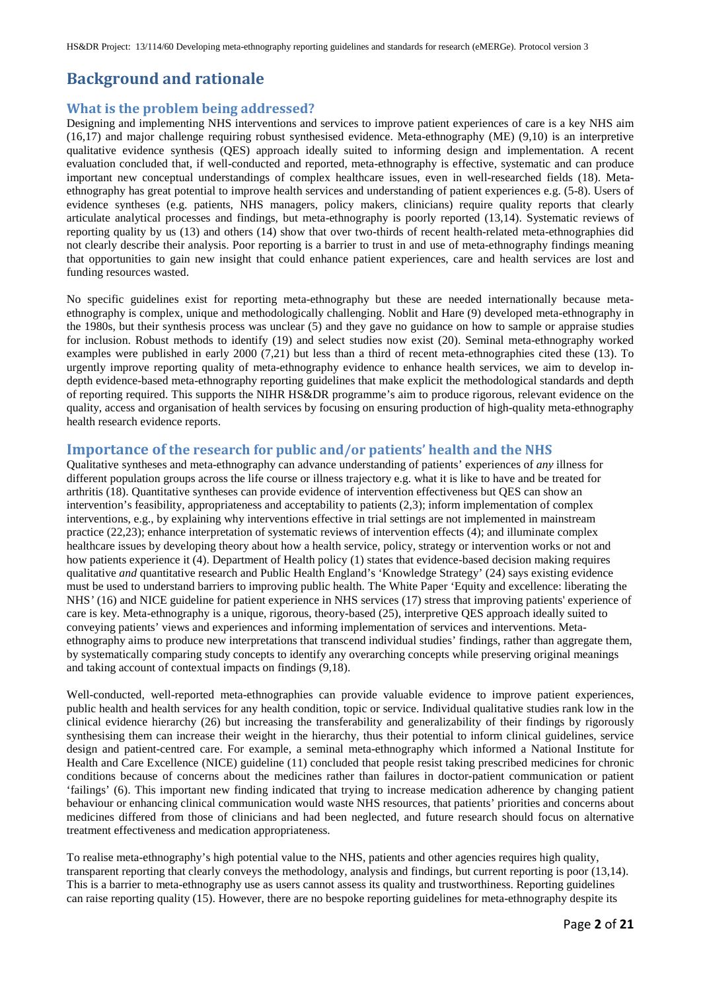# **Background and rationale**

# **What is the problem being addressed?**

Designing and implementing NHS interventions and services to improve patient experiences of care is a key NHS aim (16,17) and major challenge requiring robust synthesised evidence. Meta-ethnography (ME) (9,10) is an interpretive qualitative evidence synthesis (QES) approach ideally suited to informing design and implementation. A recent evaluation concluded that, if well-conducted and reported, meta-ethnography is effective, systematic and can produce important new conceptual understandings of complex healthcare issues, even in well-researched fields (18). Metaethnography has great potential to improve health services and understanding of patient experiences e.g. (5-8). Users of evidence syntheses (e.g. patients, NHS managers, policy makers, clinicians) require quality reports that clearly articulate analytical processes and findings, but meta-ethnography is poorly reported (13,14). Systematic reviews of reporting quality by us (13) and others (14) show that over two-thirds of recent health-related meta-ethnographies did not clearly describe their analysis. Poor reporting is a barrier to trust in and use of meta-ethnography findings meaning that opportunities to gain new insight that could enhance patient experiences, care and health services are lost and funding resources wasted.

No specific guidelines exist for reporting meta-ethnography but these are needed internationally because metaethnography is complex, unique and methodologically challenging. Noblit and Hare (9) developed meta-ethnography in the 1980s, but their synthesis process was unclear (5) and they gave no guidance on how to sample or appraise studies for inclusion. Robust methods to identify (19) and select studies now exist (20). Seminal meta-ethnography worked examples were published in early 2000 (7,21) but less than a third of recent meta-ethnographies cited these (13). To urgently improve reporting quality of meta-ethnography evidence to enhance health services, we aim to develop indepth evidence-based meta-ethnography reporting guidelines that make explicit the methodological standards and depth of reporting required. This supports the NIHR HS&DR programme's aim to produce rigorous, relevant evidence on the quality, access and organisation of health services by focusing on ensuring production of high-quality meta-ethnography health research evidence reports.

# **Importance of the research for public and/or patients' health and the NHS**

Qualitative syntheses and meta-ethnography can advance understanding of patients' experiences of *any* illness for different population groups across the life course or illness trajectory e.g. what it is like to have and be treated for arthritis (18). Quantitative syntheses can provide evidence of intervention effectiveness but QES can show an intervention's feasibility, appropriateness and acceptability to patients (2,3); inform implementation of complex interventions, e.g., by explaining why interventions effective in trial settings are not implemented in mainstream practice (22,23); enhance interpretation of systematic reviews of intervention effects (4); and illuminate complex healthcare issues by developing theory about how a health service, policy, strategy or intervention works or not and how patients experience it (4). Department of Health policy (1) states that evidence-based decision making requires qualitative *and* quantitative research and Public Health England's 'Knowledge Strategy' (24) says existing evidence must be used to understand barriers to improving public health. The White Paper 'Equity and excellence: liberating the NHS*'* (16) and NICE guideline for patient experience in NHS services (17) stress that improving patients' experience of care is key. Meta-ethnography is a unique, rigorous, theory-based (25), interpretive QES approach ideally suited to conveying patients' views and experiences and informing implementation of services and interventions. Metaethnography aims to produce new interpretations that transcend individual studies' findings, rather than aggregate them, by systematically comparing study concepts to identify any overarching concepts while preserving original meanings and taking account of contextual impacts on findings (9,18).

Well-conducted, well-reported meta-ethnographies can provide valuable evidence to improve patient experiences, public health and health services for any health condition, topic or service. Individual qualitative studies rank low in the clinical evidence hierarchy (26) but increasing the transferability and generalizability of their findings by rigorously synthesising them can increase their weight in the hierarchy, thus their potential to inform clinical guidelines, service design and patient-centred care. For example, a seminal meta-ethnography which informed a National Institute for Health and Care Excellence (NICE) guideline (11) concluded that people resist taking prescribed medicines for chronic conditions because of concerns about the medicines rather than failures in doctor-patient communication or patient 'failings' (6). This important new finding indicated that trying to increase medication adherence by changing patient behaviour or enhancing clinical communication would waste NHS resources, that patients' priorities and concerns about medicines differed from those of clinicians and had been neglected, and future research should focus on alternative treatment effectiveness and medication appropriateness.

To realise meta-ethnography's high potential value to the NHS, patients and other agencies requires high quality, transparent reporting that clearly conveys the methodology, analysis and findings, but current reporting is poor (13,14). This is a barrier to meta-ethnography use as users cannot assess its quality and trustworthiness. Reporting guidelines can raise reporting quality (15). However, there are no bespoke reporting guidelines for meta-ethnography despite its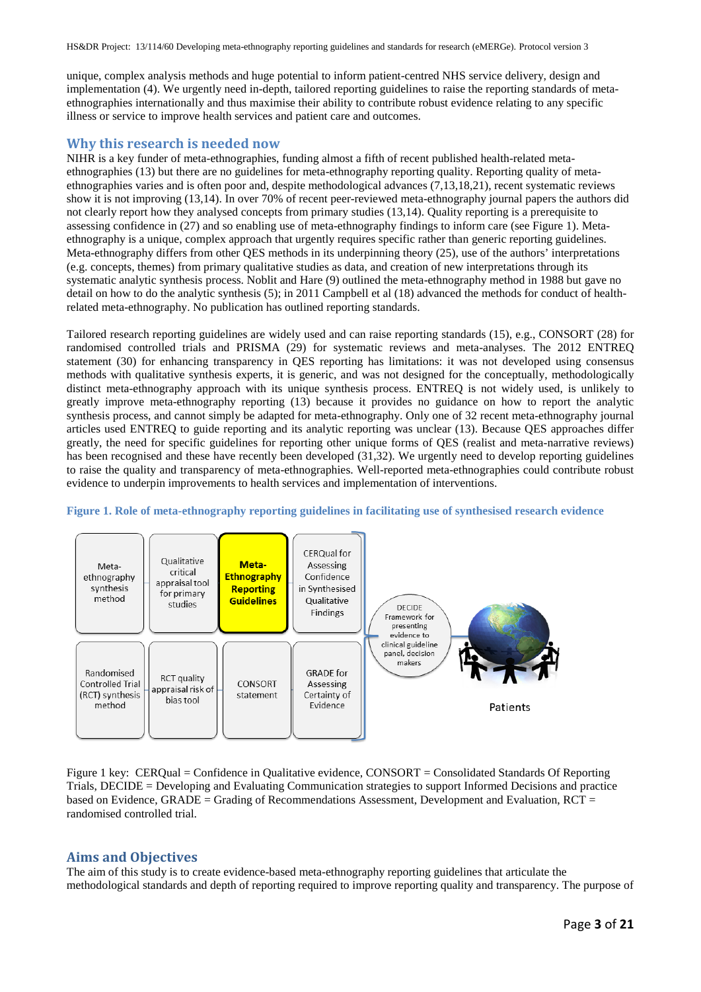unique, complex analysis methods and huge potential to inform patient-centred NHS service delivery, design and implementation (4). We urgently need in-depth, tailored reporting guidelines to raise the reporting standards of metaethnographies internationally and thus maximise their ability to contribute robust evidence relating to any specific illness or service to improve health services and patient care and outcomes.

### **Why this research is needed now**

NIHR is a key funder of meta-ethnographies, funding almost a fifth of recent published health-related metaethnographies (13) but there are no guidelines for meta-ethnography reporting quality. Reporting quality of metaethnographies varies and is often poor and, despite methodological advances (7,13,18,21), recent systematic reviews show it is not improving (13,14). In over 70% of recent peer-reviewed meta-ethnography journal papers the authors did not clearly report how they analysed concepts from primary studies (13,14). Quality reporting is a prerequisite to assessing confidence in (27) and so enabling use of meta-ethnography findings to inform care (see Figure 1). Metaethnography is a unique, complex approach that urgently requires specific rather than generic reporting guidelines. Meta-ethnography differs from other QES methods in its underpinning theory (25), use of the authors' interpretations (e.g. concepts, themes) from primary qualitative studies as data, and creation of new interpretations through its systematic analytic synthesis process. Noblit and Hare (9) outlined the meta-ethnography method in 1988 but gave no detail on how to do the analytic synthesis (5); in 2011 Campbell et al (18) advanced the methods for conduct of healthrelated meta-ethnography. No publication has outlined reporting standards.

Tailored research reporting guidelines are widely used and can raise reporting standards (15), e.g., CONSORT (28) for randomised controlled trials and PRISMA (29) for systematic reviews and meta-analyses. The 2012 ENTREQ statement (30) for enhancing transparency in QES reporting has limitations: it was not developed using consensus methods with qualitative synthesis experts, it is generic, and was not designed for the conceptually, methodologically distinct meta-ethnography approach with its unique synthesis process. ENTREQ is not widely used, is unlikely to greatly improve meta-ethnography reporting (13) because it provides no guidance on how to report the analytic synthesis process, and cannot simply be adapted for meta-ethnography. Only one of 32 recent meta-ethnography journal articles used ENTREQ to guide reporting and its analytic reporting was unclear (13). Because QES approaches differ greatly, the need for specific guidelines for reporting other unique forms of QES (realist and meta-narrative reviews) has been recognised and these have recently been developed (31,32). We urgently need to develop reporting guidelines to raise the quality and transparency of meta-ethnographies. Well-reported meta-ethnographies could contribute robust evidence to underpin improvements to health services and implementation of interventions.



#### **Figure 1. Role of meta-ethnography reporting guidelines in facilitating use of synthesised research evidence**

Figure 1 key: CERQual = Confidence in Qualitative evidence, CONSORT = Consolidated Standards Of Reporting Trials, DECIDE = Developing and Evaluating Communication strategies to support Informed Decisions and practice based on Evidence, GRADE = Grading of Recommendations Assessment, Development and Evaluation, RCT = randomised controlled trial.

### **Aims and Objectives**

The aim of this study is to create evidence-based meta-ethnography reporting guidelines that articulate the methodological standards and depth of reporting required to improve reporting quality and transparency. The purpose of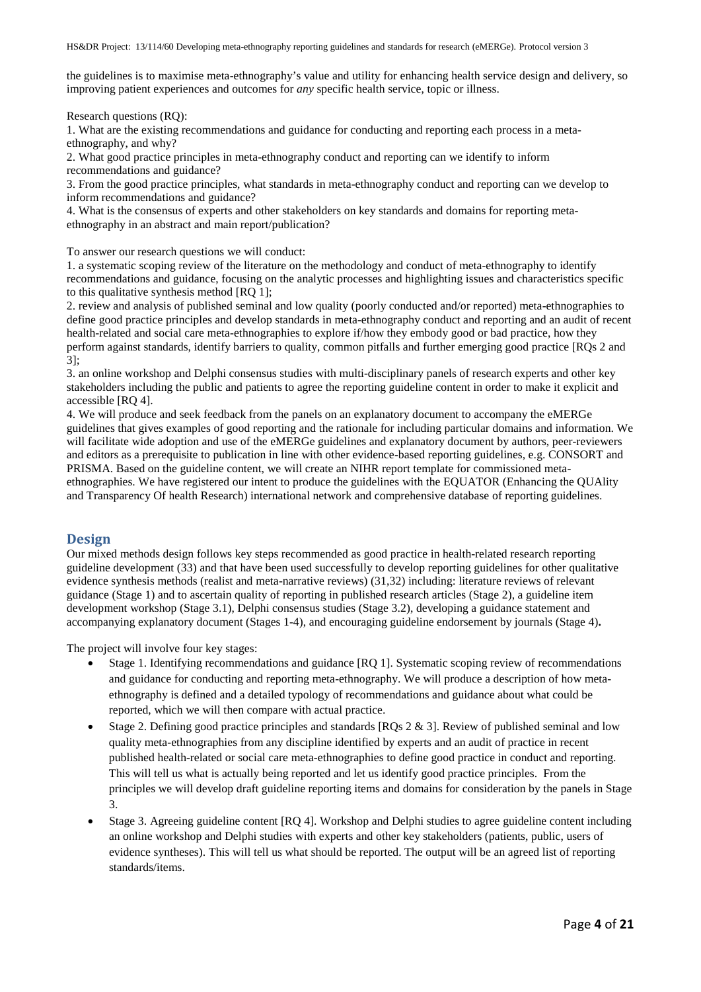the guidelines is to maximise meta-ethnography's value and utility for enhancing health service design and delivery, so improving patient experiences and outcomes for *any* specific health service, topic or illness.

Research questions (RQ):

1. What are the existing recommendations and guidance for conducting and reporting each process in a metaethnography, and why?

2. What good practice principles in meta-ethnography conduct and reporting can we identify to inform recommendations and guidance?

3. From the good practice principles, what standards in meta-ethnography conduct and reporting can we develop to inform recommendations and guidance?

4. What is the consensus of experts and other stakeholders on key standards and domains for reporting metaethnography in an abstract and main report/publication?

To answer our research questions we will conduct:

1. a systematic scoping review of the literature on the methodology and conduct of meta-ethnography to identify recommendations and guidance, focusing on the analytic processes and highlighting issues and characteristics specific to this qualitative synthesis method [RQ 1];

2. review and analysis of published seminal and low quality (poorly conducted and/or reported) meta-ethnographies to define good practice principles and develop standards in meta-ethnography conduct and reporting and an audit of recent health-related and social care meta-ethnographies to explore if/how they embody good or bad practice, how they perform against standards, identify barriers to quality, common pitfalls and further emerging good practice [RQs 2 and 3];

3. an online workshop and Delphi consensus studies with multi-disciplinary panels of research experts and other key stakeholders including the public and patients to agree the reporting guideline content in order to make it explicit and accessible [RQ 4].

4. We will produce and seek feedback from the panels on an explanatory document to accompany the eMERGe guidelines that gives examples of good reporting and the rationale for including particular domains and information. We will facilitate wide adoption and use of the eMERGe guidelines and explanatory document by authors, peer-reviewers and editors as a prerequisite to publication in line with other evidence-based reporting guidelines, e.g. CONSORT and PRISMA. Based on the guideline content, we will create an NIHR report template for commissioned metaethnographies. We have registered our intent to produce the guidelines with the EQUATOR (Enhancing the QUAlity and Transparency Of health Research) international network and comprehensive database of reporting guidelines.

# **Design**

Our mixed methods design follows key steps recommended as good practice in health-related research reporting guideline development (33) and that have been used successfully to develop reporting guidelines for other qualitative evidence synthesis methods (realist and meta-narrative reviews) (31,32) including: literature reviews of relevant guidance (Stage 1) and to ascertain quality of reporting in published research articles (Stage 2), a guideline item development workshop (Stage 3.1), Delphi consensus studies (Stage 3.2), developing a guidance statement and accompanying explanatory document (Stages 1-4), and encouraging guideline endorsement by journals (Stage 4)**.** 

The project will involve four key stages:

- Stage 1. Identifying recommendations and guidance [RQ 1]. Systematic scoping review of recommendations and guidance for conducting and reporting meta-ethnography. We will produce a description of how metaethnography is defined and a detailed typology of recommendations and guidance about what could be reported, which we will then compare with actual practice.
- Stage 2. Defining good practice principles and standards  $[RQs 2 & 3]$ . Review of published seminal and low quality meta-ethnographies from any discipline identified by experts and an audit of practice in recent published health-related or social care meta-ethnographies to define good practice in conduct and reporting. This will tell us what is actually being reported and let us identify good practice principles. From the principles we will develop draft guideline reporting items and domains for consideration by the panels in Stage 3.
- Stage 3. Agreeing guideline content [RQ 4]. Workshop and Delphi studies to agree guideline content including an online workshop and Delphi studies with experts and other key stakeholders (patients, public, users of evidence syntheses). This will tell us what should be reported. The output will be an agreed list of reporting standards/items.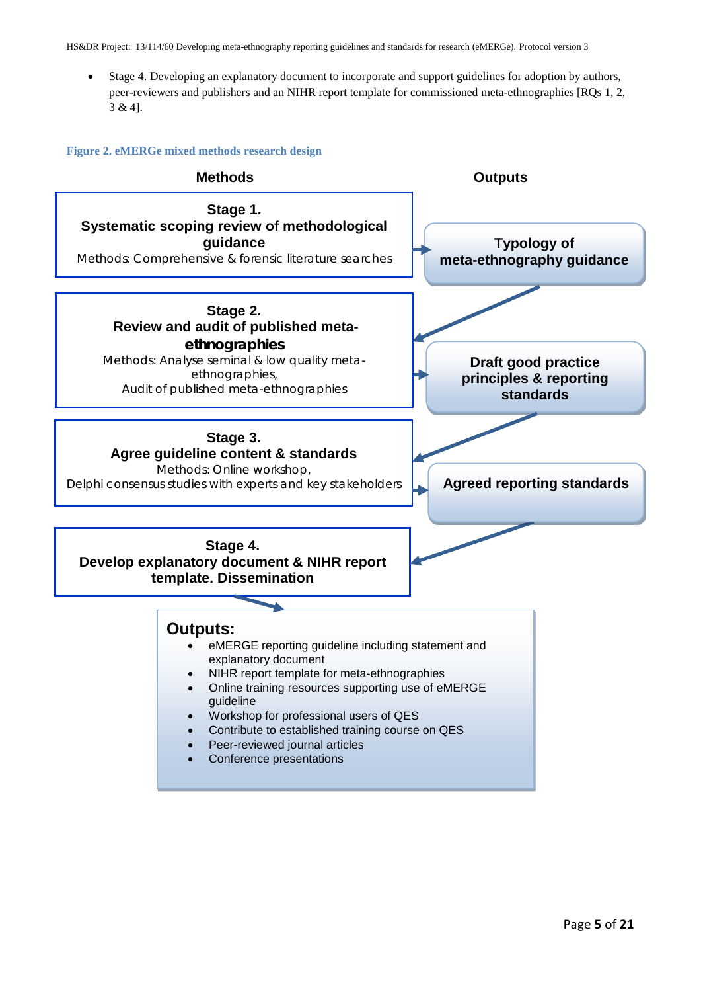• Stage 4. Developing an explanatory document to incorporate and support guidelines for adoption by authors, peer-reviewers and publishers and an NIHR report template for commissioned meta-ethnographies [RQs 1, 2, 3 & 4].

**Figure 2. eMERGe mixed methods research design**

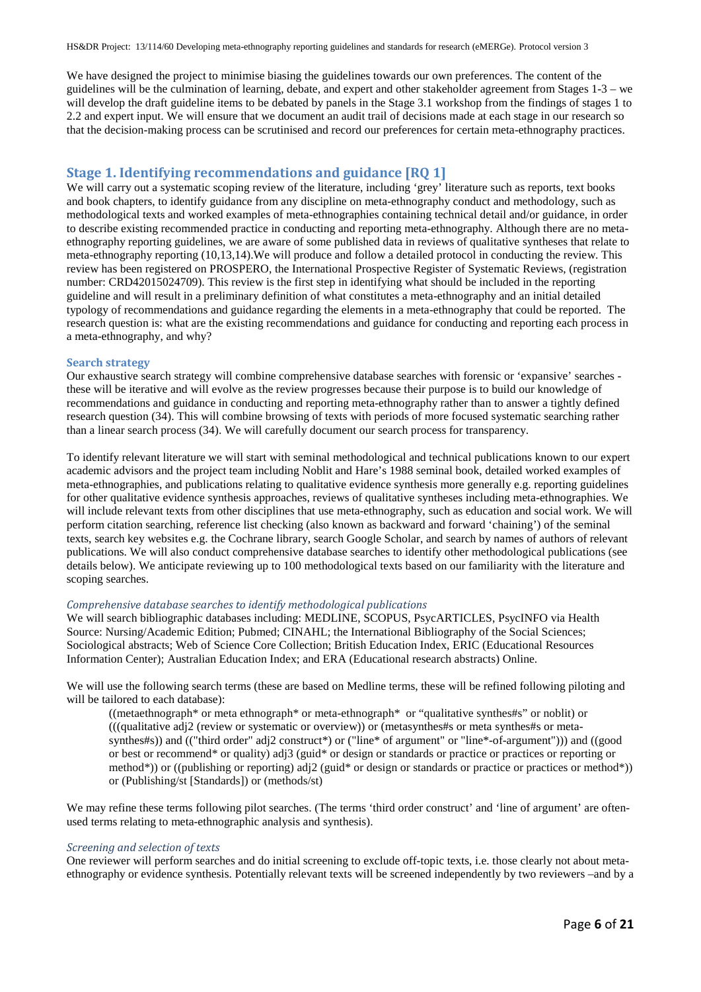We have designed the project to minimise biasing the guidelines towards our own preferences. The content of the guidelines will be the culmination of learning, debate, and expert and other stakeholder agreement from Stages 1-3 – we will develop the draft guideline items to be debated by panels in the Stage 3.1 workshop from the findings of stages 1 to 2.2 and expert input. We will ensure that we document an audit trail of decisions made at each stage in our research so that the decision-making process can be scrutinised and record our preferences for certain meta-ethnography practices.

# **Stage 1. Identifying recommendations and guidance [RQ 1]**

We will carry out a systematic scoping review of the literature, including 'grey' literature such as reports, text books and book chapters, to identify guidance from any discipline on meta-ethnography conduct and methodology, such as methodological texts and worked examples of meta-ethnographies containing technical detail and/or guidance, in order to describe existing recommended practice in conducting and reporting meta-ethnography. Although there are no metaethnography reporting guidelines, we are aware of some published data in reviews of qualitative syntheses that relate to meta-ethnography reporting (10,13,14).We will produce and follow a detailed protocol in conducting the review. This review has been registered on PROSPERO, the International Prospective Register of Systematic Reviews, (registration number: CRD42015024709). This review is the first step in identifying what should be included in the reporting guideline and will result in a preliminary definition of what constitutes a meta-ethnography and an initial detailed typology of recommendations and guidance regarding the elements in a meta-ethnography that could be reported. The research question is: what are the existing recommendations and guidance for conducting and reporting each process in a meta-ethnography, and why?

#### **Search strategy**

Our exhaustive search strategy will combine comprehensive database searches with forensic or 'expansive' searches these will be iterative and will evolve as the review progresses because their purpose is to build our knowledge of recommendations and guidance in conducting and reporting meta-ethnography rather than to answer a tightly defined research question (34). This will combine browsing of texts with periods of more focused systematic searching rather than a linear search process (34). We will carefully document our search process for transparency.

To identify relevant literature we will start with seminal methodological and technical publications known to our expert academic advisors and the project team including Noblit and Hare's 1988 seminal book, detailed worked examples of meta-ethnographies, and publications relating to qualitative evidence synthesis more generally e.g. reporting guidelines for other qualitative evidence synthesis approaches, reviews of qualitative syntheses including meta-ethnographies. We will include relevant texts from other disciplines that use meta-ethnography, such as education and social work. We will perform citation searching, reference list checking (also known as backward and forward 'chaining') of the seminal texts, search key websites e.g. the Cochrane library, search Google Scholar, and search by names of authors of relevant publications. We will also conduct comprehensive database searches to identify other methodological publications (see details below). We anticipate reviewing up to 100 methodological texts based on our familiarity with the literature and scoping searches.

#### *Comprehensive database searches to identify methodological publications*

We will search bibliographic databases including: MEDLINE, SCOPUS, PsycARTICLES, PsycINFO via Health Source: Nursing/Academic Edition; Pubmed; CINAHL; the International Bibliography of the Social Sciences; Sociological abstracts; Web of Science Core Collection; British Education Index, ERIC (Educational Resources Information Center); Australian Education Index; and ERA (Educational research abstracts) Online.

We will use the following search terms (these are based on Medline terms, these will be refined following piloting and will be tailored to each database):

((metaethnograph\* or meta ethnograph\* or meta-ethnograph\* or "qualitative synthes#s" or noblit) or (((qualitative adj2 (review or systematic or overview)) or (metasynthes#s or meta synthes#s or metasynthes#s)) and (("third order" adj2 construct\*) or ("line\* of argument" or "line\*-of-argument"))) and ((good or best or recommend\* or quality) adj3 (guid\* or design or standards or practice or practices or reporting or method\*)) or ((publishing or reporting) adj2 (guid\* or design or standards or practice or practices or method\*)) or (Publishing/st [Standards]) or (methods/st)

We may refine these terms following pilot searches. (The terms 'third order construct' and 'line of argument' are oftenused terms relating to meta-ethnographic analysis and synthesis).

#### *Screening and selection of texts*

One reviewer will perform searches and do initial screening to exclude off-topic texts, i.e. those clearly not about metaethnography or evidence synthesis. Potentially relevant texts will be screened independently by two reviewers –and by a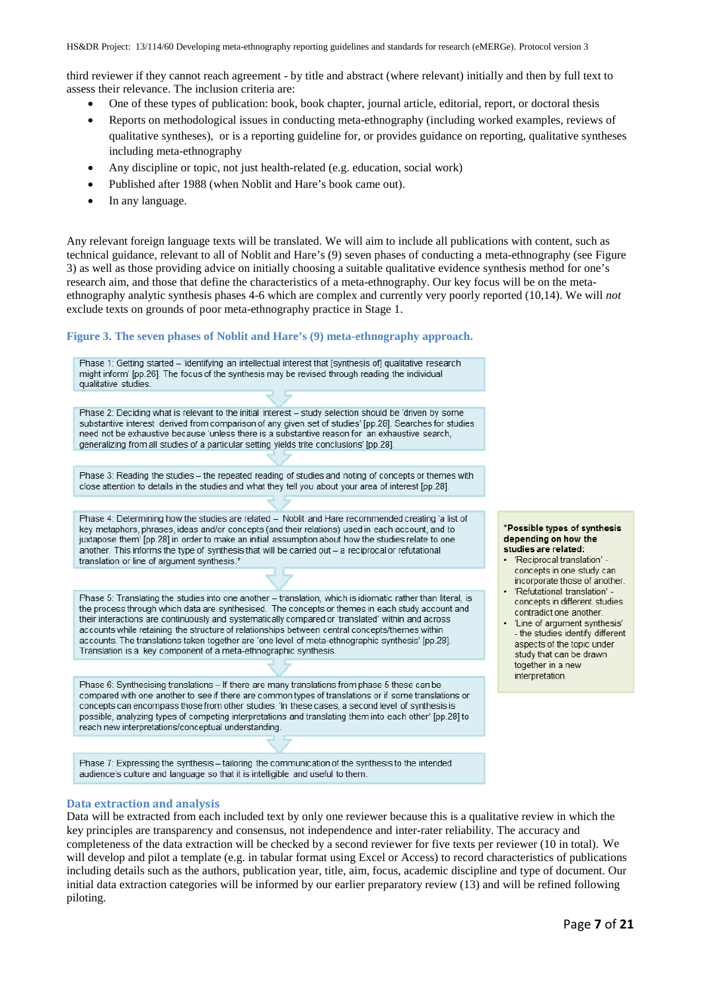third reviewer if they cannot reach agreement - by title and abstract (where relevant) initially and then by full text to assess their relevance. The inclusion criteria are:

- One of these types of publication: book, book chapter, journal article, editorial, report, or doctoral thesis
- Reports on methodological issues in conducting meta-ethnography (including worked examples, reviews of qualitative syntheses), or is a reporting guideline for, or provides guidance on reporting, qualitative syntheses including meta-ethnography
- Any discipline or topic, not just health-related (e.g. education, social work)
- Published after 1988 (when Noblit and Hare's book came out).
- In any language.

Any relevant foreign language texts will be translated. We will aim to include all publications with content, such as technical guidance, relevant to all of Noblit and Hare's (9) seven phases of conducting a meta-ethnography (see Figure 3) as well as those providing advice on initially choosing a suitable qualitative evidence synthesis method for one's research aim, and those that define the characteristics of a meta-ethnography. Our key focus will be on the metaethnography analytic synthesis phases 4-6 which are complex and currently very poorly reported (10,14). We will *not* exclude texts on grounds of poor meta-ethnography practice in Stage 1.

### **Figure 3. The seven phases of Noblit and Hare's (9) meta-ethnography approach.**

Phase 1: Getting started - 'identifying an intellectual interest that [synthesis of] qualitative research might inform' [pp.26]. The focus of the synthesis may be revised through reading the individual qualitative studies

Phase 2: Deciding what is relevant to the initial interest - study selection should be 'driven by some substantive interest derived from comparison of any given set of studies' [pp.28]. Searches for studies need not be exhaustive because 'unless there is a substantive reason for an exhaustive search. generalizing from all studies of a particular setting yields trite conclusions' [pp.28].

Phase 3: Reading the studies - the repeated reading of studies and noting of concepts or themes with close attention to details in the studies and what they tell you about your area of interest [pp.28].

Phase 4: Determining how the studies are related - Noblit and Hare recommended creating 'a list of key metaphors, phrases, ideas and/or concepts (and their relations) used in each account, and to juxtapose them' [pp.28] in order to make an initial assumption about how the studies relate to one another. This informs the type of synthesis that will be carried out - a reciprocal or refutational translation or line of argument synthesis.\*

Phase 5: Translating the studies into one another - translation, which is idiomatic rather than literal, is the process through which data are synthesised. The concepts or themes in each study account and their interactions are continuously and systematically compared or 'translated' within and across accounts while retaining the structure of relationships between central concepts/themes within accounts. The translations taken together are 'one level of meta-ethnographic synthesis' [pp.28]. Translation is a key component of a meta-ethnographic synthesis.

Phase 6: Synthesising translations - If there are many translations from phase 5 these can be compared with one another to see if there are common types of translations or if some translations or concepts can encompass those from other studies. 'In these cases, a second level of synthesis is possible, analyzing types of competing interpretations and translating them into each other' [pp.28] to reach new interpretations/conceptual understanding.

Phase 7: Expressing the synthesis - tailoring the communication of the synthesis to the intended audience's culture and language so that it is intelligible and useful to them.

#### **Data extraction and analysis**

Data will be extracted from each included text by only one reviewer because this is a qualitative review in which the key principles are transparency and consensus, not independence and inter-rater reliability. The accuracy and completeness of the data extraction will be checked by a second reviewer for five texts per reviewer (10 in total). We will develop and pilot a template (e.g. in tabular format using Excel or Access) to record characteristics of publications including details such as the authors, publication year, title, aim, focus, academic discipline and type of document. Our initial data extraction categories will be informed by our earlier preparatory review (13) and will be refined following piloting.

#### \*Possible types of synthesis depending on how the studies are related:

- · 'Reciprocal translation' concepts in one study can incorporate those of another.
- · 'Refutational translation' concepts in different studies contradict one another.
- 'Line of argument synthesis' - the studies identify different aspects of the topic under study that can be drawn together in a new interpretation.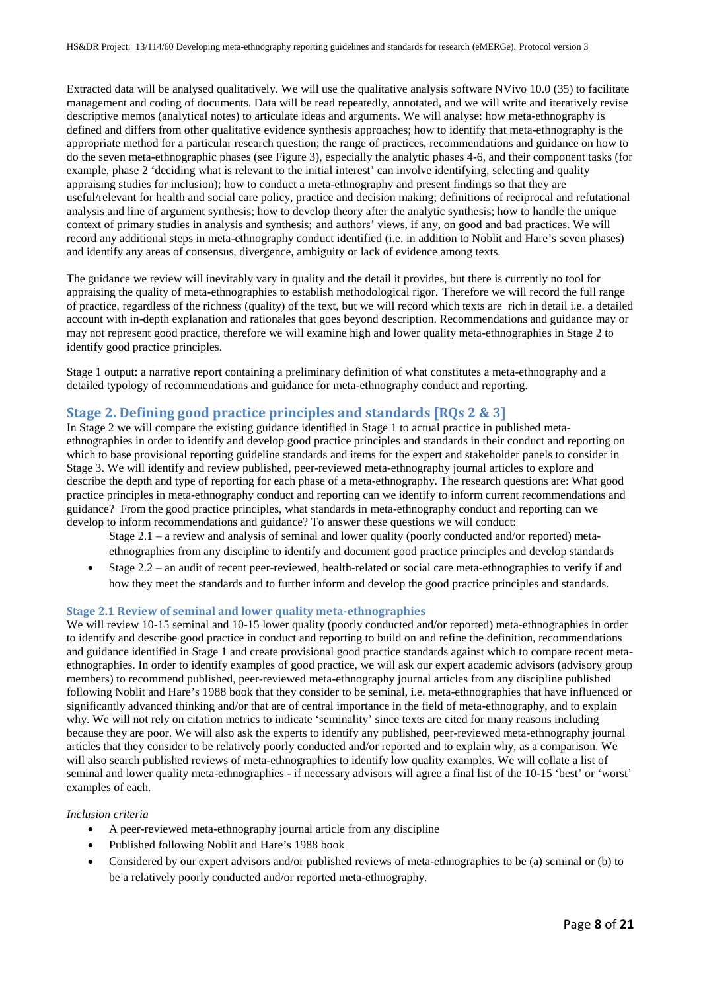Extracted data will be analysed qualitatively. We will use the qualitative analysis software NVivo 10.0 (35) to facilitate management and coding of documents. Data will be read repeatedly, annotated, and we will write and iteratively revise descriptive memos (analytical notes) to articulate ideas and arguments. We will analyse: how meta-ethnography is defined and differs from other qualitative evidence synthesis approaches; how to identify that meta-ethnography is the appropriate method for a particular research question; the range of practices, recommendations and guidance on how to do the seven meta-ethnographic phases (see Figure 3), especially the analytic phases 4-6, and their component tasks (for example, phase 2 'deciding what is relevant to the initial interest' can involve identifying, selecting and quality appraising studies for inclusion); how to conduct a meta-ethnography and present findings so that they are useful/relevant for health and social care policy, practice and decision making; definitions of reciprocal and refutational analysis and line of argument synthesis; how to develop theory after the analytic synthesis; how to handle the unique context of primary studies in analysis and synthesis; and authors' views, if any, on good and bad practices. We will record any additional steps in meta-ethnography conduct identified (i.e. in addition to Noblit and Hare's seven phases) and identify any areas of consensus, divergence, ambiguity or lack of evidence among texts.

The guidance we review will inevitably vary in quality and the detail it provides, but there is currently no tool for appraising the quality of meta-ethnographies to establish methodological rigor. Therefore we will record the full range of practice, regardless of the richness (quality) of the text, but we will record which texts are rich in detail i.e. a detailed account with in-depth explanation and rationales that goes beyond description. Recommendations and guidance may or may not represent good practice, therefore we will examine high and lower quality meta-ethnographies in Stage 2 to identify good practice principles.

Stage 1 output: a narrative report containing a preliminary definition of what constitutes a meta-ethnography and a detailed typology of recommendations and guidance for meta-ethnography conduct and reporting.

# **Stage 2. Defining good practice principles and standards [RQs 2 & 3]**

In Stage 2 we will compare the existing guidance identified in Stage 1 to actual practice in published metaethnographies in order to identify and develop good practice principles and standards in their conduct and reporting on which to base provisional reporting guideline standards and items for the expert and stakeholder panels to consider in Stage 3. We will identify and review published, peer-reviewed meta-ethnography journal articles to explore and describe the depth and type of reporting for each phase of a meta-ethnography. The research questions are: What good practice principles in meta-ethnography conduct and reporting can we identify to inform current recommendations and guidance? From the good practice principles, what standards in meta-ethnography conduct and reporting can we develop to inform recommendations and guidance? To answer these questions we will conduct:

- Stage 2.1 a review and analysis of seminal and lower quality (poorly conducted and/or reported) metaethnographies from any discipline to identify and document good practice principles and develop standards
- Stage 2.2 an audit of recent peer-reviewed, health-related or social care meta-ethnographies to verify if and how they meet the standards and to further inform and develop the good practice principles and standards.

### **Stage 2.1 Review of seminal and lower quality meta-ethnographies**

We will review 10-15 seminal and 10-15 lower quality (poorly conducted and/or reported) meta-ethnographies in order to identify and describe good practice in conduct and reporting to build on and refine the definition, recommendations and guidance identified in Stage 1 and create provisional good practice standards against which to compare recent metaethnographies. In order to identify examples of good practice, we will ask our expert academic advisors (advisory group members) to recommend published, peer-reviewed meta-ethnography journal articles from any discipline published following Noblit and Hare's 1988 book that they consider to be seminal, i.e. meta-ethnographies that have influenced or significantly advanced thinking and/or that are of central importance in the field of meta-ethnography, and to explain why. We will not rely on citation metrics to indicate 'seminality' since texts are cited for many reasons including because they are poor. We will also ask the experts to identify any published, peer-reviewed meta-ethnography journal articles that they consider to be relatively poorly conducted and/or reported and to explain why, as a comparison. We will also search published reviews of meta-ethnographies to identify low quality examples. We will collate a list of seminal and lower quality meta-ethnographies - if necessary advisors will agree a final list of the 10-15 'best' or 'worst' examples of each.

#### *Inclusion criteria*

- A peer-reviewed meta-ethnography journal article from any discipline
- Published following Noblit and Hare's 1988 book
- Considered by our expert advisors and/or published reviews of meta-ethnographies to be (a) seminal or (b) to be a relatively poorly conducted and/or reported meta-ethnography.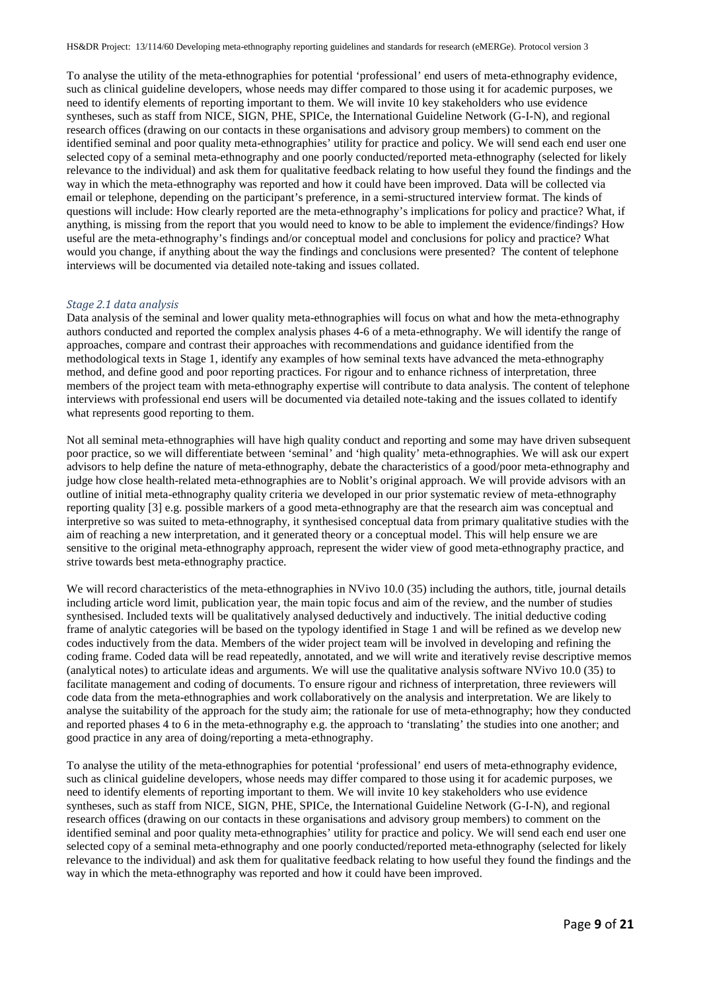To analyse the utility of the meta-ethnographies for potential 'professional' end users of meta-ethnography evidence, such as clinical guideline developers, whose needs may differ compared to those using it for academic purposes, we need to identify elements of reporting important to them. We will invite 10 key stakeholders who use evidence syntheses, such as staff from NICE, SIGN, PHE, SPICe, the International Guideline Network (G-I-N), and regional research offices (drawing on our contacts in these organisations and advisory group members) to comment on the identified seminal and poor quality meta-ethnographies' utility for practice and policy. We will send each end user one selected copy of a seminal meta-ethnography and one poorly conducted/reported meta-ethnography (selected for likely relevance to the individual) and ask them for qualitative feedback relating to how useful they found the findings and the way in which the meta-ethnography was reported and how it could have been improved. Data will be collected via email or telephone, depending on the participant's preference, in a semi-structured interview format. The kinds of questions will include: How clearly reported are the meta-ethnography's implications for policy and practice? What, if anything, is missing from the report that you would need to know to be able to implement the evidence/findings? How useful are the meta-ethnography's findings and/or conceptual model and conclusions for policy and practice? What would you change, if anything about the way the findings and conclusions were presented? The content of telephone interviews will be documented via detailed note-taking and issues collated.

#### *Stage 2.1 data analysis*

Data analysis of the seminal and lower quality meta-ethnographies will focus on what and how the meta-ethnography authors conducted and reported the complex analysis phases 4-6 of a meta-ethnography. We will identify the range of approaches, compare and contrast their approaches with recommendations and guidance identified from the methodological texts in Stage 1, identify any examples of how seminal texts have advanced the meta-ethnography method, and define good and poor reporting practices. For rigour and to enhance richness of interpretation, three members of the project team with meta-ethnography expertise will contribute to data analysis. The content of telephone interviews with professional end users will be documented via detailed note-taking and the issues collated to identify what represents good reporting to them.

Not all seminal meta-ethnographies will have high quality conduct and reporting and some may have driven subsequent poor practice, so we will differentiate between 'seminal' and 'high quality' meta-ethnographies. We will ask our expert advisors to help define the nature of meta-ethnography, debate the characteristics of a good/poor meta-ethnography and judge how close health-related meta-ethnographies are to Noblit's original approach. We will provide advisors with an outline of initial meta-ethnography quality criteria we developed in our prior systematic review of meta-ethnography reporting quality [3] e.g. possible markers of a good meta-ethnography are that the research aim was conceptual and interpretive so was suited to meta-ethnography, it synthesised conceptual data from primary qualitative studies with the aim of reaching a new interpretation, and it generated theory or a conceptual model. This will help ensure we are sensitive to the original meta-ethnography approach, represent the wider view of good meta-ethnography practice, and strive towards best meta-ethnography practice.

We will record characteristics of the meta-ethnographies in NVivo 10.0 (35) including the authors, title, journal details including article word limit, publication year, the main topic focus and aim of the review, and the number of studies synthesised. Included texts will be qualitatively analysed deductively and inductively. The initial deductive coding frame of analytic categories will be based on the typology identified in Stage 1 and will be refined as we develop new codes inductively from the data. Members of the wider project team will be involved in developing and refining the coding frame. Coded data will be read repeatedly, annotated, and we will write and iteratively revise descriptive memos (analytical notes) to articulate ideas and arguments. We will use the qualitative analysis software NVivo 10.0 (35) to facilitate management and coding of documents. To ensure rigour and richness of interpretation, three reviewers will code data from the meta-ethnographies and work collaboratively on the analysis and interpretation. We are likely to analyse the suitability of the approach for the study aim; the rationale for use of meta-ethnography; how they conducted and reported phases 4 to 6 in the meta-ethnography e.g. the approach to 'translating' the studies into one another; and good practice in any area of doing/reporting a meta-ethnography.

To analyse the utility of the meta-ethnographies for potential 'professional' end users of meta-ethnography evidence, such as clinical guideline developers, whose needs may differ compared to those using it for academic purposes, we need to identify elements of reporting important to them. We will invite 10 key stakeholders who use evidence syntheses, such as staff from NICE, SIGN, PHE, SPICe, the International Guideline Network (G-I-N), and regional research offices (drawing on our contacts in these organisations and advisory group members) to comment on the identified seminal and poor quality meta-ethnographies' utility for practice and policy. We will send each end user one selected copy of a seminal meta-ethnography and one poorly conducted/reported meta-ethnography (selected for likely relevance to the individual) and ask them for qualitative feedback relating to how useful they found the findings and the way in which the meta-ethnography was reported and how it could have been improved.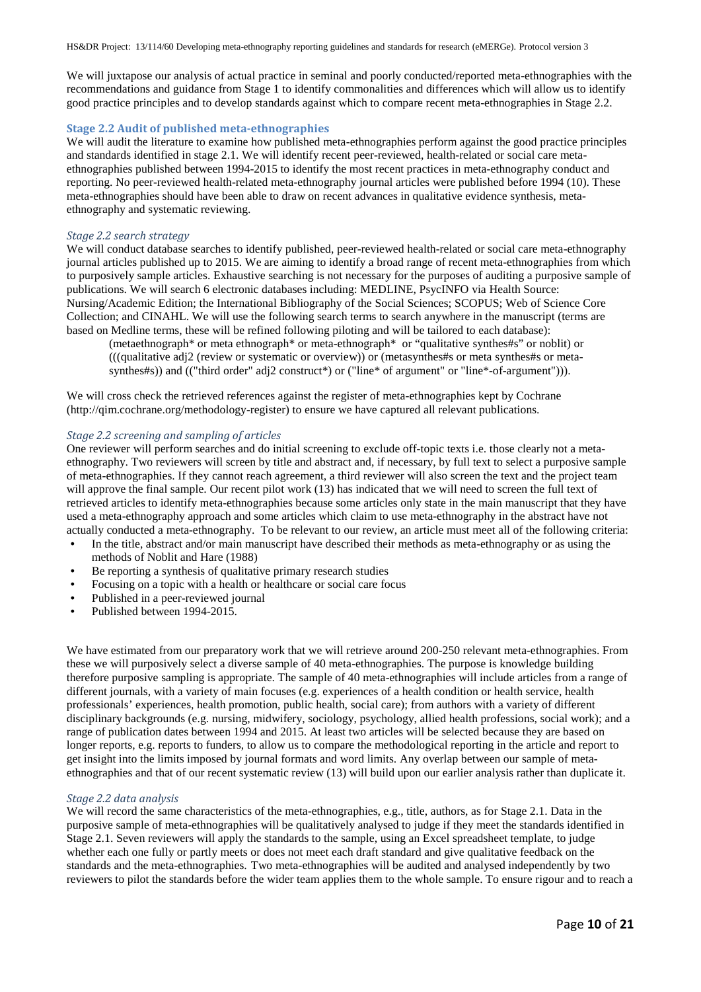We will juxtapose our analysis of actual practice in seminal and poorly conducted/reported meta-ethnographies with the recommendations and guidance from Stage 1 to identify commonalities and differences which will allow us to identify good practice principles and to develop standards against which to compare recent meta-ethnographies in Stage 2.2.

#### **Stage 2.2 Audit of published meta-ethnographies**

We will audit the literature to examine how published meta-ethnographies perform against the good practice principles and standards identified in stage 2.1. We will identify recent peer-reviewed, health-related or social care metaethnographies published between 1994-2015 to identify the most recent practices in meta-ethnography conduct and reporting. No peer-reviewed health-related meta-ethnography journal articles were published before 1994 (10). These meta-ethnographies should have been able to draw on recent advances in qualitative evidence synthesis, metaethnography and systematic reviewing.

#### *Stage 2.2 search strategy*

We will conduct database searches to identify published, peer-reviewed health-related or social care meta-ethnography journal articles published up to 2015. We are aiming to identify a broad range of recent meta-ethnographies from which to purposively sample articles. Exhaustive searching is not necessary for the purposes of auditing a purposive sample of publications. We will search 6 electronic databases including: MEDLINE, PsycINFO via Health Source: Nursing/Academic Edition; the International Bibliography of the Social Sciences; SCOPUS; Web of Science Core Collection; and CINAHL. We will use the following search terms to search anywhere in the manuscript (terms are based on Medline terms, these will be refined following piloting and will be tailored to each database):

(metaethnograph\* or meta ethnograph\* or meta-ethnograph\* or "qualitative synthes#s" or noblit) or (((qualitative adj2 (review or systematic or overview)) or (metasynthes#s or meta synthes#s or metasynthes#s)) and (("third order" adj2 construct\*) or ("line\* of argument" or "line\*-of-argument"))).

We will cross check the retrieved references against the register of meta-ethnographies kept by Cochrane [\(http://qim.cochrane.org/methodology-register\)](http://qim.cochrane.org/methodology-register) to ensure we have captured all relevant publications.

# *Stage 2.2 screening and sampling of articles*

One reviewer will perform searches and do initial screening to exclude off-topic texts i.e. those clearly not a metaethnography. Two reviewers will screen by title and abstract and, if necessary, by full text to select a purposive sample of meta-ethnographies. If they cannot reach agreement, a third reviewer will also screen the text and the project team will approve the final sample. Our recent pilot work (13) has indicated that we will need to screen the full text of retrieved articles to identify meta-ethnographies because some articles only state in the main manuscript that they have used a meta-ethnography approach and some articles which claim to use meta-ethnography in the abstract have not actually conducted a meta-ethnography. To be relevant to our review, an article must meet all of the following criteria:

- In the title, abstract and/or main manuscript have described their methods as meta-ethnography or as using the methods of Noblit and Hare (1988)
- Be reporting a synthesis of qualitative primary research studies
- Focusing on a topic with a health or healthcare or social care focus
- Published in a peer-reviewed journal
- Published between 1994-2015.

We have estimated from our preparatory work that we will retrieve around 200-250 relevant meta-ethnographies. From these we will purposively select a diverse sample of 40 meta-ethnographies. The purpose is knowledge building therefore purposive sampling is appropriate. The sample of 40 meta-ethnographies will include articles from a range of different journals, with a variety of main focuses (e.g. experiences of a health condition or health service, health professionals' experiences, health promotion, public health, social care); from authors with a variety of different disciplinary backgrounds (e.g. nursing, midwifery, sociology, psychology, allied health professions, social work); and a range of publication dates between 1994 and 2015. At least two articles will be selected because they are based on longer reports, e.g. reports to funders, to allow us to compare the methodological reporting in the article and report to get insight into the limits imposed by journal formats and word limits. Any overlap between our sample of metaethnographies and that of our recent systematic review (13) will build upon our earlier analysis rather than duplicate it.

#### *Stage 2.2 data analysis*

We will record the same characteristics of the meta-ethnographies, e.g., title, authors, as for Stage 2.1. Data in the purposive sample of meta-ethnographies will be qualitatively analysed to judge if they meet the standards identified in Stage 2.1. Seven reviewers will apply the standards to the sample, using an Excel spreadsheet template, to judge whether each one fully or partly meets or does not meet each draft standard and give qualitative feedback on the standards and the meta-ethnographies. Two meta-ethnographies will be audited and analysed independently by two reviewers to pilot the standards before the wider team applies them to the whole sample. To ensure rigour and to reach a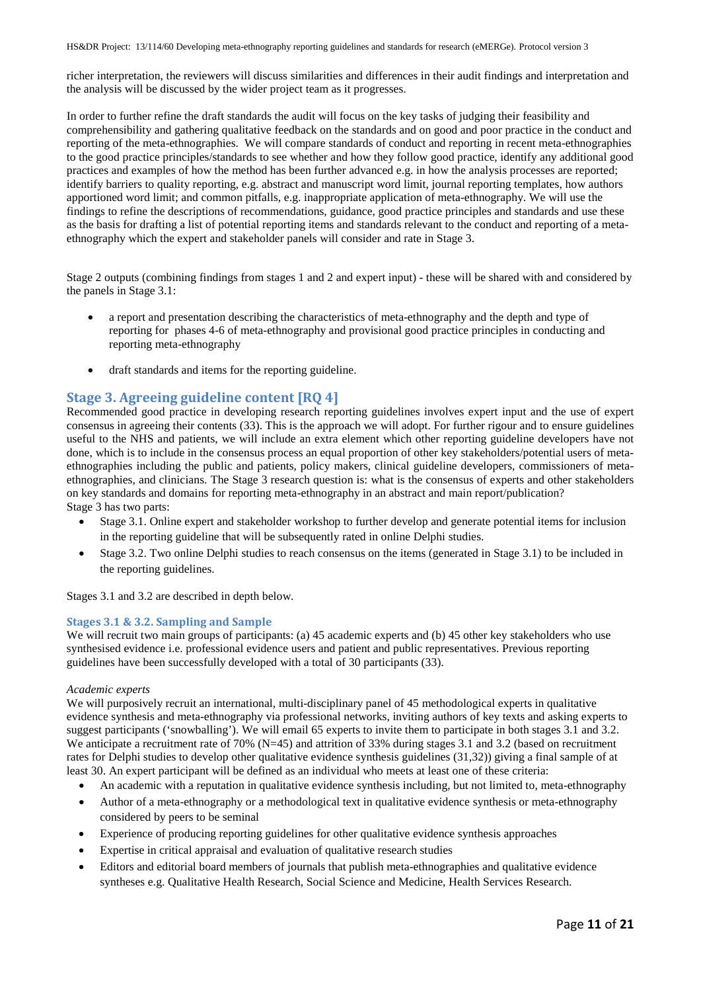richer interpretation, the reviewers will discuss similarities and differences in their audit findings and interpretation and the analysis will be discussed by the wider project team as it progresses.

In order to further refine the draft standards the audit will focus on the key tasks of judging their feasibility and comprehensibility and gathering qualitative feedback on the standards and on good and poor practice in the conduct and reporting of the meta-ethnographies. We will compare standards of conduct and reporting in recent meta-ethnographies to the good practice principles/standards to see whether and how they follow good practice, identify any additional good practices and examples of how the method has been further advanced e.g. in how the analysis processes are reported; identify barriers to quality reporting, e.g. abstract and manuscript word limit, journal reporting templates, how authors apportioned word limit; and common pitfalls, e.g. inappropriate application of meta-ethnography. We will use the findings to refine the descriptions of recommendations, guidance, good practice principles and standards and use these as the basis for drafting a list of potential reporting items and standards relevant to the conduct and reporting of a metaethnography which the expert and stakeholder panels will consider and rate in Stage 3.

Stage 2 outputs (combining findings from stages 1 and 2 and expert input) - these will be shared with and considered by the panels in Stage 3.1:

- a report and presentation describing the characteristics of meta-ethnography and the depth and type of reporting for phases 4-6 of meta-ethnography and provisional good practice principles in conducting and reporting meta-ethnography
- draft standards and items for the reporting guideline.

# **Stage 3. Agreeing guideline content [RQ 4]**

Recommended good practice in developing research reporting guidelines involves expert input and the use of expert consensus in agreeing their contents (33). This is the approach we will adopt. For further rigour and to ensure guidelines useful to the NHS and patients, we will include an extra element which other reporting guideline developers have not done, which is to include in the consensus process an equal proportion of other key stakeholders/potential users of metaethnographies including the public and patients, policy makers, clinical guideline developers, commissioners of metaethnographies, and clinicians. The Stage 3 research question is: what is the consensus of experts and other stakeholders on key standards and domains for reporting meta-ethnography in an abstract and main report/publication? Stage 3 has two parts:

- Stage 3.1. Online expert and stakeholder workshop to further develop and generate potential items for inclusion in the reporting guideline that will be subsequently rated in online Delphi studies.
- Stage 3.2. Two online Delphi studies to reach consensus on the items (generated in Stage 3.1) to be included in the reporting guidelines.

Stages 3.1 and 3.2 are described in depth below.

### **Stages 3.1 & 3.2. Sampling and Sample**

We will recruit two main groups of participants: (a) 45 academic experts and (b) 45 other key stakeholders who use synthesised evidence i.e. professional evidence users and patient and public representatives. Previous reporting guidelines have been successfully developed with a total of 30 participants (33).

#### *Academic experts*

We will purposively recruit an international, multi-disciplinary panel of 45 methodological experts in qualitative evidence synthesis and meta-ethnography via professional networks, inviting authors of key texts and asking experts to suggest participants ('snowballing'). We will email 65 experts to invite them to participate in both stages 3.1 and 3.2. We anticipate a recruitment rate of 70% (N=45) and attrition of 33% during stages 3.1 and 3.2 (based on recruitment rates for Delphi studies to develop other qualitative evidence synthesis guidelines (31,32)) giving a final sample of at least 30. An expert participant will be defined as an individual who meets at least one of these criteria:

- An academic with a reputation in qualitative evidence synthesis including, but not limited to, meta-ethnography
- Author of a meta-ethnography or a methodological text in qualitative evidence synthesis or meta-ethnography considered by peers to be seminal
- Experience of producing reporting guidelines for other qualitative evidence synthesis approaches
- Expertise in critical appraisal and evaluation of qualitative research studies
- Editors and editorial board members of journals that publish meta-ethnographies and qualitative evidence syntheses e.g. Qualitative Health Research, Social Science and Medicine, Health Services Research.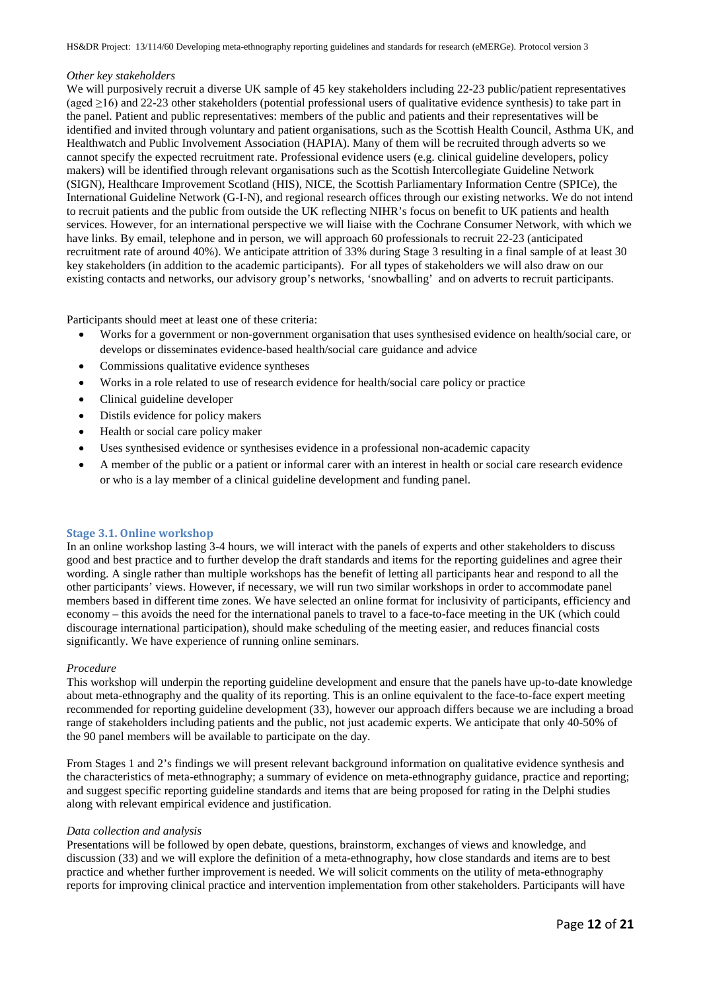### *Other key stakeholders*

We will purposively recruit a diverse UK sample of 45 key stakeholders including 22-23 public/patient representatives (aged ≥16) and 22-23 other stakeholders (potential professional users of qualitative evidence synthesis) to take part in the panel. Patient and public representatives: members of the public and patients and their representatives will be identified and invited through voluntary and patient organisations, such as the Scottish Health Council, Asthma UK, and Healthwatch and Public Involvement Association (HAPIA). Many of them will be recruited through adverts so we cannot specify the expected recruitment rate. Professional evidence users (e.g. clinical guideline developers, policy makers) will be identified through relevant organisations such as the Scottish Intercollegiate Guideline Network (SIGN), Healthcare Improvement Scotland (HIS), NICE, the Scottish Parliamentary Information Centre (SPICe), the International Guideline Network (G-I-N), and regional research offices through our existing networks. We do not intend to recruit patients and the public from outside the UK reflecting NIHR's focus on benefit to UK patients and health services. However, for an international perspective we will liaise with the Cochrane Consumer Network, with which we have links. By email, telephone and in person, we will approach 60 professionals to recruit 22-23 (anticipated recruitment rate of around 40%). We anticipate attrition of 33% during Stage 3 resulting in a final sample of at least 30 key stakeholders (in addition to the academic participants). For all types of stakeholders we will also draw on our existing contacts and networks, our advisory group's networks, 'snowballing' and on adverts to recruit participants.

Participants should meet at least one of these criteria:

- Works for a government or non-government organisation that uses synthesised evidence on health/social care, or develops or disseminates evidence-based health/social care guidance and advice
- Commissions qualitative evidence syntheses
- Works in a role related to use of research evidence for health/social care policy or practice
- Clinical guideline developer
- Distils evidence for policy makers
- Health or social care policy maker
- Uses synthesised evidence or synthesises evidence in a professional non-academic capacity
- A member of the public or a patient or informal carer with an interest in health or social care research evidence or who is a lay member of a clinical guideline development and funding panel.

#### **Stage 3.1. Online workshop**

In an online workshop lasting 3-4 hours, we will interact with the panels of experts and other stakeholders to discuss good and best practice and to further develop the draft standards and items for the reporting guidelines and agree their wording. A single rather than multiple workshops has the benefit of letting all participants hear and respond to all the other participants' views. However, if necessary, we will run two similar workshops in order to accommodate panel members based in different time zones. We have selected an online format for inclusivity of participants, efficiency and economy – this avoids the need for the international panels to travel to a face-to-face meeting in the UK (which could discourage international participation), should make scheduling of the meeting easier, and reduces financial costs significantly. We have experience of running online seminars.

### *Procedure*

This workshop will underpin the reporting guideline development and ensure that the panels have up-to-date knowledge about meta-ethnography and the quality of its reporting. This is an online equivalent to the face-to-face expert meeting recommended for reporting guideline development (33), however our approach differs because we are including a broad range of stakeholders including patients and the public, not just academic experts. We anticipate that only 40-50% of the 90 panel members will be available to participate on the day.

From Stages 1 and 2's findings we will present relevant background information on qualitative evidence synthesis and the characteristics of meta-ethnography; a summary of evidence on meta-ethnography guidance, practice and reporting; and suggest specific reporting guideline standards and items that are being proposed for rating in the Delphi studies along with relevant empirical evidence and justification.

### *Data collection and analysis*

Presentations will be followed by open debate, questions, brainstorm, exchanges of views and knowledge, and discussion (33) and we will explore the definition of a meta-ethnography, how close standards and items are to best practice and whether further improvement is needed. We will solicit comments on the utility of meta-ethnography reports for improving clinical practice and intervention implementation from other stakeholders. Participants will have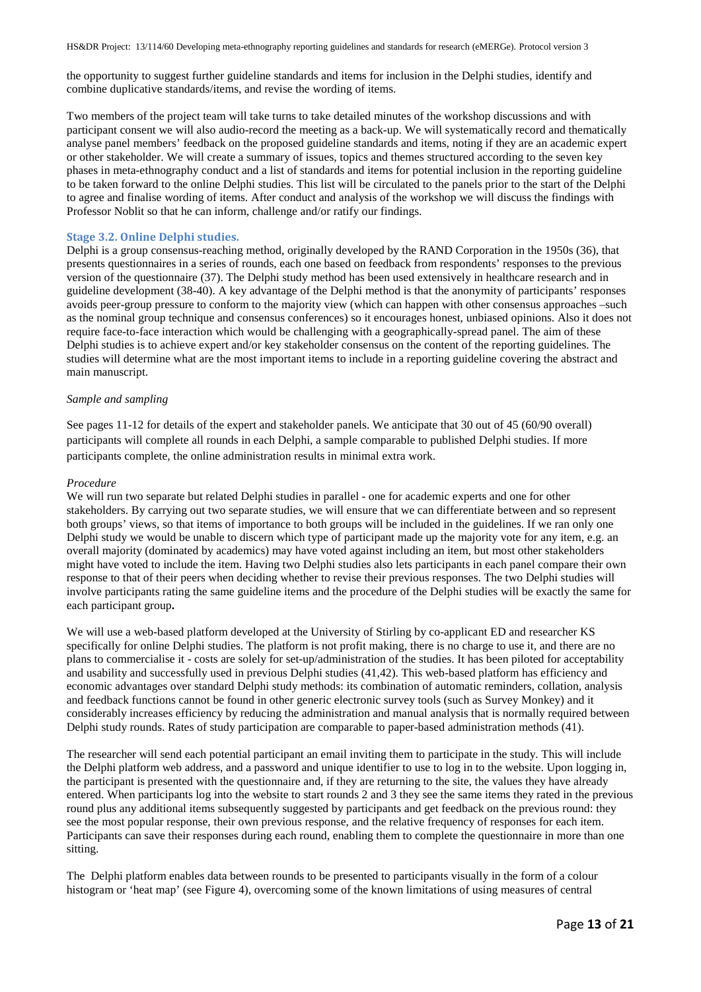the opportunity to suggest further guideline standards and items for inclusion in the Delphi studies, identify and combine duplicative standards/items, and revise the wording of items.

Two members of the project team will take turns to take detailed minutes of the workshop discussions and with participant consent we will also audio-record the meeting as a back-up. We will systematically record and thematically analyse panel members' feedback on the proposed guideline standards and items, noting if they are an academic expert or other stakeholder. We will create a summary of issues, topics and themes structured according to the seven key phases in meta-ethnography conduct and a list of standards and items for potential inclusion in the reporting guideline to be taken forward to the online Delphi studies. This list will be circulated to the panels prior to the start of the Delphi to agree and finalise wording of items. After conduct and analysis of the workshop we will discuss the findings with Professor Noblit so that he can inform, challenge and/or ratify our findings.

#### **Stage 3.2. Online Delphi studies.**

Delphi is a group consensus-reaching method, originally developed by the RAND Corporation in the 1950s (36), that presents questionnaires in a series of rounds, each one based on feedback from respondents' responses to the previous version of the questionnaire (37). The Delphi study method has been used extensively in healthcare research and in guideline development (38-40). A key advantage of the Delphi method is that the anonymity of participants' responses avoids peer-group pressure to conform to the majority view (which can happen with other consensus approaches –such as the nominal group technique and consensus conferences) so it encourages honest, unbiased opinions. Also it does not require face-to-face interaction which would be challenging with a geographically-spread panel. The aim of these Delphi studies is to achieve expert and/or key stakeholder consensus on the content of the reporting guidelines. The studies will determine what are the most important items to include in a reporting guideline covering the abstract and main manuscript.

#### *Sample and sampling*

See pages 11-12 for details of the expert and stakeholder panels. We anticipate that 30 out of 45 (60/90 overall) participants will complete all rounds in each Delphi, a sample comparable to published Delphi studies. If more participants complete, the online administration results in minimal extra work.

#### *Procedure*

We will run two separate but related Delphi studies in parallel - one for academic experts and one for other stakeholders. By carrying out two separate studies, we will ensure that we can differentiate between and so represent both groups' views, so that items of importance to both groups will be included in the guidelines. If we ran only one Delphi study we would be unable to discern which type of participant made up the majority vote for any item, e.g. an overall majority (dominated by academics) may have voted against including an item, but most other stakeholders might have voted to include the item. Having two Delphi studies also lets participants in each panel compare their own response to that of their peers when deciding whether to revise their previous responses. The two Delphi studies will involve participants rating the same guideline items and the procedure of the Delphi studies will be exactly the same for each participant group**.**

We will use a web-based platform developed at the University of Stirling by co-applicant ED and researcher KS specifically for online Delphi studies. The platform is not profit making, there is no charge to use it, and there are no plans to commercialise it - costs are solely for set-up/administration of the studies. It has been piloted for acceptability and usability and successfully used in previous Delphi studies (41,42). This web-based platform has efficiency and economic advantages over standard Delphi study methods: its combination of automatic reminders, collation, analysis and feedback functions cannot be found in other generic electronic survey tools (such as Survey Monkey) and it considerably increases efficiency by reducing the administration and manual analysis that is normally required between Delphi study rounds. Rates of study participation are comparable to paper-based administration methods (41).

The researcher will send each potential participant an email inviting them to participate in the study. This will include the Delphi platform web address, and a password and unique identifier to use to log in to the website. Upon logging in, the participant is presented with the questionnaire and, if they are returning to the site, the values they have already entered. When participants log into the website to start rounds 2 and 3 they see the same items they rated in the previous round plus any additional items subsequently suggested by participants and get feedback on the previous round: they see the most popular response, their own previous response, and the relative frequency of responses for each item. Participants can save their responses during each round, enabling them to complete the questionnaire in more than one sitting.

The Delphi platform enables data between rounds to be presented to participants visually in the form of a colour histogram or 'heat map' (see [Figure 4\)](#page-13-0), overcoming some of the known limitations of using measures of central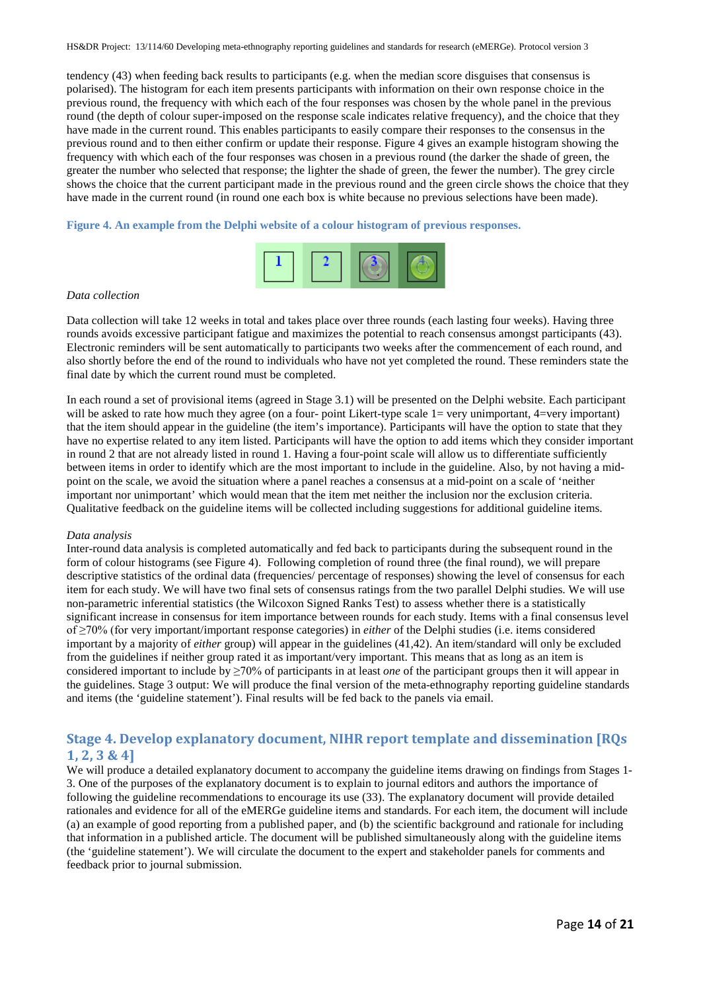tendency (43) when feeding back results to participants (e.g. when the median score disguises that consensus is polarised). The histogram for each item presents participants with information on their own response choice in the previous round, the frequency with which each of the four responses was chosen by the whole panel in the previous round (the depth of colour super-imposed on the response scale indicates relative frequency), and the choice that they have made in the current round. This enables participants to easily compare their responses to the consensus in the previous round and to then either confirm or update their response[. Figure 4](#page-13-0) gives an example histogram showing the frequency with which each of the four responses was chosen in a previous round (the darker the shade of green, the greater the number who selected that response; the lighter the shade of green, the fewer the number). The grey circle shows the choice that the current participant made in the previous round and the green circle shows the choice that they have made in the current round (in round one each box is white because no previous selections have been made).

#### <span id="page-13-0"></span>**Figure 4. An example from the Delphi website of a colour histogram of previous responses.**



#### *Data collection*

Data collection will take 12 weeks in total and takes place over three rounds (each lasting four weeks). Having three rounds avoids excessive participant fatigue and maximizes the potential to reach consensus amongst participants (43). Electronic reminders will be sent automatically to participants two weeks after the commencement of each round, and also shortly before the end of the round to individuals who have not yet completed the round. These reminders state the final date by which the current round must be completed.

In each round a set of provisional items (agreed in Stage 3.1) will be presented on the Delphi website. Each participant will be asked to rate how much they agree (on a four- point Likert-type scale 1= very unimportant, 4=very important) that the item should appear in the guideline (the item's importance). Participants will have the option to state that they have no expertise related to any item listed. Participants will have the option to add items which they consider important in round 2 that are not already listed in round 1. Having a four-point scale will allow us to differentiate sufficiently between items in order to identify which are the most important to include in the guideline. Also, by not having a midpoint on the scale, we avoid the situation where a panel reaches a consensus at a mid-point on a scale of 'neither important nor unimportant' which would mean that the item met neither the inclusion nor the exclusion criteria. Qualitative feedback on the guideline items will be collected including suggestions for additional guideline items.

#### *Data analysis*

Inter-round data analysis is completed automatically and fed back to participants during the subsequent round in the form of colour histograms (see [Figure 4\)](#page-13-0). Following completion of round three (the final round), we will prepare descriptive statistics of the ordinal data (frequencies/ percentage of responses) showing the level of consensus for each item for each study. We will have two final sets of consensus ratings from the two parallel Delphi studies. We will use non-parametric inferential statistics (the Wilcoxon Signed Ranks Test) to assess whether there is a statistically significant increase in consensus for item importance between rounds for each study. Items with a final consensus level of ≥70% (for very important/important response categories) in *either* of the Delphi studies (i.e. items considered important by a majority of *either* group) will appear in the guidelines (41,42). An item/standard will only be excluded from the guidelines if neither group rated it as important/very important. This means that as long as an item is considered important to include by ≥70% of participants in at least *one* of the participant groups then it will appear in the guidelines. Stage 3 output: We will produce the final version of the meta-ethnography reporting guideline standards and items (the 'guideline statement'). Final results will be fed back to the panels via email.

# **Stage 4. Develop explanatory document, NIHR report template and dissemination [RQs 1, 2, 3 & 4]**

We will produce a detailed explanatory document to accompany the guideline items drawing on findings from Stages 1-3. One of the purposes of the explanatory document is to explain to journal editors and authors the importance of following the guideline recommendations to encourage its use (33). The explanatory document will provide detailed rationales and evidence for all of the eMERGe guideline items and standards. For each item, the document will include (a) an example of good reporting from a published paper, and (b) the scientific background and rationale for including that information in a published article. The document will be published simultaneously along with the guideline items (the 'guideline statement'). We will circulate the document to the expert and stakeholder panels for comments and feedback prior to journal submission.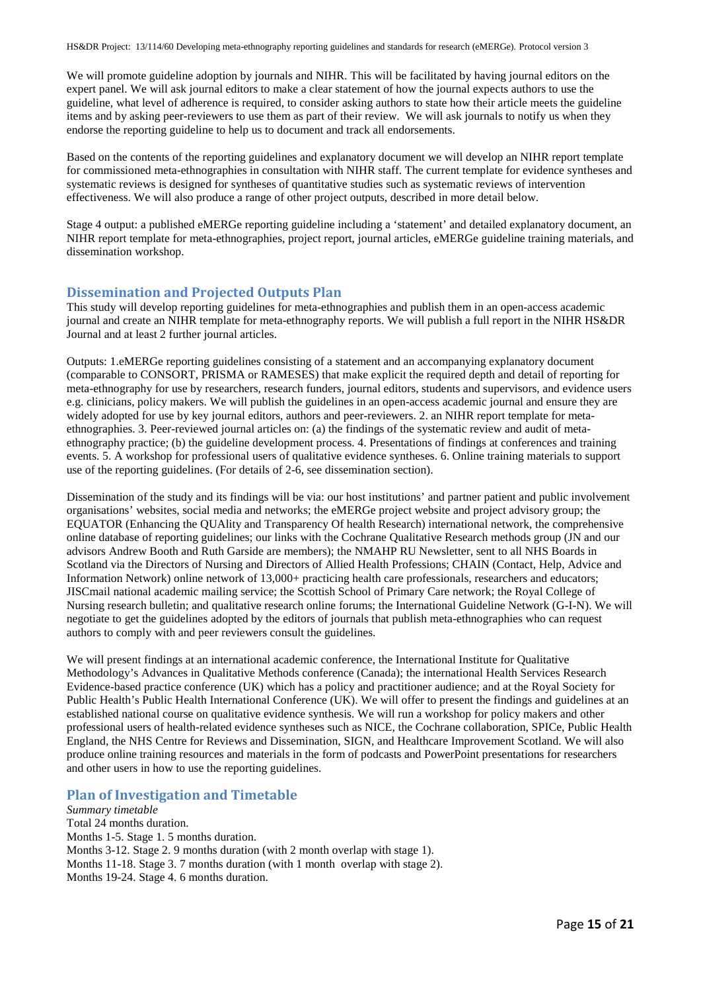We will promote guideline adoption by journals and NIHR. This will be facilitated by having journal editors on the expert panel. We will ask journal editors to make a clear statement of how the journal expects authors to use the guideline, what level of adherence is required, to consider asking authors to state how their article meets the guideline items and by asking peer-reviewers to use them as part of their review. We will ask journals to notify us when they endorse the reporting guideline to help us to document and track all endorsements.

Based on the contents of the reporting guidelines and explanatory document we will develop an NIHR report template for commissioned meta-ethnographies in consultation with NIHR staff. The current template for evidence syntheses and systematic reviews is designed for syntheses of quantitative studies such as systematic reviews of intervention effectiveness. We will also produce a range of other project outputs, described in more detail below.

Stage 4 output: a published eMERGe reporting guideline including a 'statement' and detailed explanatory document, an NIHR report template for meta-ethnographies, project report, journal articles, eMERGe guideline training materials, and dissemination workshop.

# **Dissemination and Projected Outputs Plan**

This study will develop reporting guidelines for meta-ethnographies and publish them in an open-access academic journal and create an NIHR template for meta-ethnography reports. We will publish a full report in the NIHR HS&DR Journal and at least 2 further journal articles.

Outputs: 1.eMERGe reporting guidelines consisting of a statement and an accompanying explanatory document (comparable to CONSORT, PRISMA or RAMESES) that make explicit the required depth and detail of reporting for meta-ethnography for use by researchers, research funders, journal editors, students and supervisors, and evidence users e.g. clinicians, policy makers. We will publish the guidelines in an open-access academic journal and ensure they are widely adopted for use by key journal editors, authors and peer-reviewers. 2. an NIHR report template for metaethnographies. 3. Peer-reviewed journal articles on: (a) the findings of the systematic review and audit of metaethnography practice; (b) the guideline development process. 4. Presentations of findings at conferences and training events. 5. A workshop for professional users of qualitative evidence syntheses. 6. Online training materials to support use of the reporting guidelines. (For details of 2-6, see dissemination section).

Dissemination of the study and its findings will be via: our host institutions' and partner patient and public involvement organisations' websites, social media and networks; the eMERGe project website and project advisory group; the EQUATOR (Enhancing the QUAlity and Transparency Of health Research) international network, the comprehensive online database of reporting guidelines; our links with the Cochrane Qualitative Research methods group (JN and our advisors Andrew Booth and Ruth Garside are members); the NMAHP RU Newsletter, sent to all NHS Boards in Scotland via the Directors of Nursing and Directors of Allied Health Professions; CHAIN (Contact, Help, Advice and Information Network) online network of 13,000+ practicing health care professionals, researchers and educators; JISCmail national academic mailing service; the Scottish School of Primary Care network; the Royal College of Nursing research bulletin; and qualitative research online forums; the International Guideline Network (G-I-N). We will negotiate to get the guidelines adopted by the editors of journals that publish meta-ethnographies who can request authors to comply with and peer reviewers consult the guidelines.

We will present findings at an international academic conference, the International Institute for Qualitative Methodology's Advances in Qualitative Methods conference (Canada); the international Health Services Research Evidence-based practice conference (UK) which has a policy and practitioner audience; and at the Royal Society for Public Health's Public Health International Conference (UK). We will offer to present the findings and guidelines at an established national course on qualitative evidence synthesis. We will run a workshop for policy makers and other professional users of health-related evidence syntheses such as NICE, the Cochrane collaboration, SPICe, Public Health England, the NHS Centre for Reviews and Dissemination, SIGN, and Healthcare Improvement Scotland. We will also produce online training resources and materials in the form of podcasts and PowerPoint presentations for researchers and other users in how to use the reporting guidelines.

# **Plan of Investigation and Timetable**

*Summary timetable* Total 24 months duration. Months 1-5. Stage 1. 5 months duration. Months 3-12. Stage 2. 9 months duration (with 2 month overlap with stage 1). Months 11-18. Stage 3. 7 months duration (with 1 month overlap with stage 2). Months 19-24. Stage 4. 6 months duration.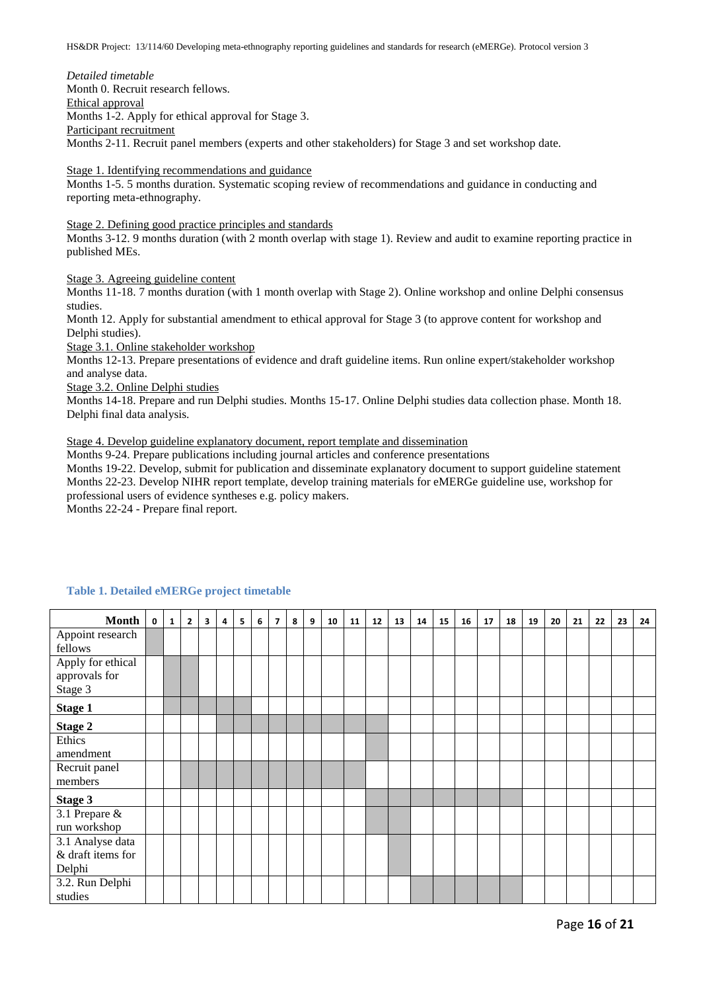*Detailed timetable* Month 0. Recruit research fellows. Ethical approval Months 1-2. Apply for ethical approval for Stage 3. Participant recruitment Months 2-11. Recruit panel members (experts and other stakeholders) for Stage 3 and set workshop date.

Stage 1. Identifying recommendations and guidance

Months 1-5. 5 months duration. Systematic scoping review of recommendations and guidance in conducting and reporting meta-ethnography.

Stage 2. Defining good practice principles and standards

Months 3-12. 9 months duration (with 2 month overlap with stage 1). Review and audit to examine reporting practice in published MEs.

Stage 3. Agreeing guideline content

Months 11-18. 7 months duration (with 1 month overlap with Stage 2). Online workshop and online Delphi consensus studies.

Month 12. Apply for substantial amendment to ethical approval for Stage 3 (to approve content for workshop and Delphi studies).

Stage 3.1. Online stakeholder workshop

Months 12-13. Prepare presentations of evidence and draft guideline items. Run online expert/stakeholder workshop and analyse data.

Stage 3.2. Online Delphi studies

Months 14-18. Prepare and run Delphi studies. Months 15-17. Online Delphi studies data collection phase. Month 18. Delphi final data analysis.

Stage 4. Develop guideline explanatory document, report template and dissemination

Months 9-24. Prepare publications including journal articles and conference presentations

Months 19-22. Develop, submit for publication and disseminate explanatory document to support guideline statement Months 22-23. Develop NIHR report template, develop training materials for eMERGe guideline use, workshop for professional users of evidence syntheses e.g. policy makers.

Months 22-24 - Prepare final report.

| <b>Month</b>      | $\overline{0}$ | $\mathbf{1}$ | $\overline{2}$ | $\overline{\mathbf{3}}$ | 4 |   |   | $\overline{7}$ | 8 | 9 |    |    | 12 | 13 |    | 15 | 16 | 17 |    |    | 20 |    |    | 23 |    |
|-------------------|----------------|--------------|----------------|-------------------------|---|---|---|----------------|---|---|----|----|----|----|----|----|----|----|----|----|----|----|----|----|----|
|                   |                |              |                |                         |   | 5 | 6 |                |   |   | 10 | 11 |    |    | 14 |    |    |    | 18 | 19 |    | 21 | 22 |    | 24 |
| Appoint research  |                |              |                |                         |   |   |   |                |   |   |    |    |    |    |    |    |    |    |    |    |    |    |    |    |    |
| fellows           |                |              |                |                         |   |   |   |                |   |   |    |    |    |    |    |    |    |    |    |    |    |    |    |    |    |
| Apply for ethical |                |              |                |                         |   |   |   |                |   |   |    |    |    |    |    |    |    |    |    |    |    |    |    |    |    |
| approvals for     |                |              |                |                         |   |   |   |                |   |   |    |    |    |    |    |    |    |    |    |    |    |    |    |    |    |
| Stage 3           |                |              |                |                         |   |   |   |                |   |   |    |    |    |    |    |    |    |    |    |    |    |    |    |    |    |
| <b>Stage 1</b>    |                |              |                |                         |   |   |   |                |   |   |    |    |    |    |    |    |    |    |    |    |    |    |    |    |    |
| <b>Stage 2</b>    |                |              |                |                         |   |   |   |                |   |   |    |    |    |    |    |    |    |    |    |    |    |    |    |    |    |
| Ethics            |                |              |                |                         |   |   |   |                |   |   |    |    |    |    |    |    |    |    |    |    |    |    |    |    |    |
| amendment         |                |              |                |                         |   |   |   |                |   |   |    |    |    |    |    |    |    |    |    |    |    |    |    |    |    |
| Recruit panel     |                |              |                |                         |   |   |   |                |   |   |    |    |    |    |    |    |    |    |    |    |    |    |    |    |    |
| members           |                |              |                |                         |   |   |   |                |   |   |    |    |    |    |    |    |    |    |    |    |    |    |    |    |    |
| Stage 3           |                |              |                |                         |   |   |   |                |   |   |    |    |    |    |    |    |    |    |    |    |    |    |    |    |    |
| 3.1 Prepare &     |                |              |                |                         |   |   |   |                |   |   |    |    |    |    |    |    |    |    |    |    |    |    |    |    |    |
| run workshop      |                |              |                |                         |   |   |   |                |   |   |    |    |    |    |    |    |    |    |    |    |    |    |    |    |    |
| 3.1 Analyse data  |                |              |                |                         |   |   |   |                |   |   |    |    |    |    |    |    |    |    |    |    |    |    |    |    |    |
| & draft items for |                |              |                |                         |   |   |   |                |   |   |    |    |    |    |    |    |    |    |    |    |    |    |    |    |    |
| Delphi            |                |              |                |                         |   |   |   |                |   |   |    |    |    |    |    |    |    |    |    |    |    |    |    |    |    |
| 3.2. Run Delphi   |                |              |                |                         |   |   |   |                |   |   |    |    |    |    |    |    |    |    |    |    |    |    |    |    |    |
| studies           |                |              |                |                         |   |   |   |                |   |   |    |    |    |    |    |    |    |    |    |    |    |    |    |    |    |

#### **Table 1. Detailed eMERGe project timetable**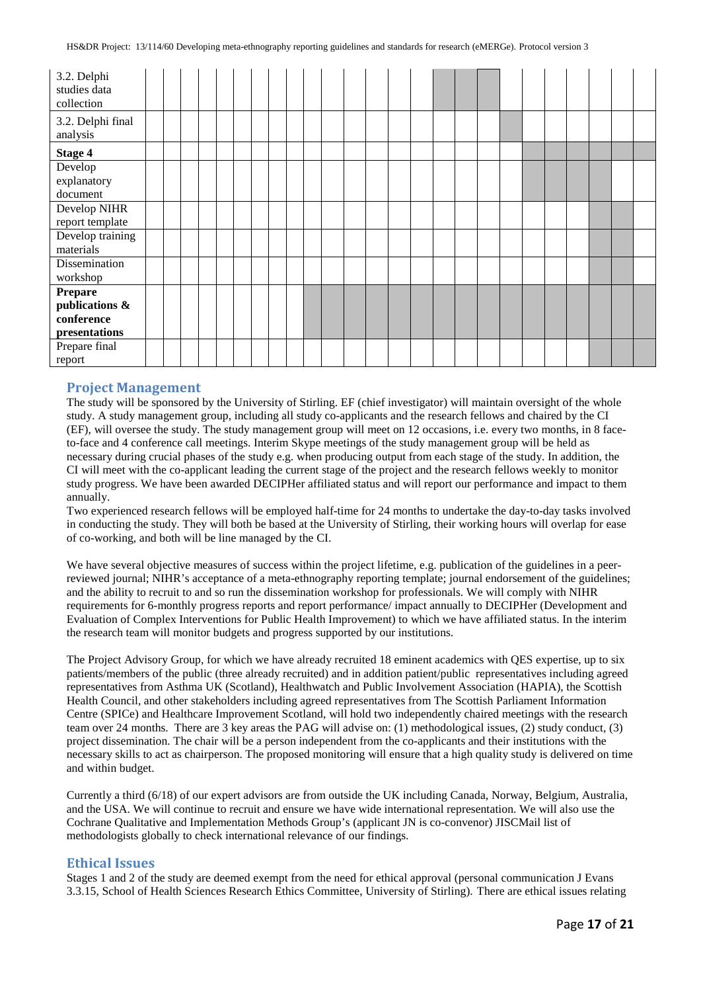| 3.2. Delphi<br>studies data<br>collection |  |  |  |  |  |  |  |  |  |  |  |  |
|-------------------------------------------|--|--|--|--|--|--|--|--|--|--|--|--|
| 3.2. Delphi final<br>analysis             |  |  |  |  |  |  |  |  |  |  |  |  |
| <b>Stage 4</b>                            |  |  |  |  |  |  |  |  |  |  |  |  |
| Develop                                   |  |  |  |  |  |  |  |  |  |  |  |  |
| explanatory                               |  |  |  |  |  |  |  |  |  |  |  |  |
| document                                  |  |  |  |  |  |  |  |  |  |  |  |  |
| Develop NIHR                              |  |  |  |  |  |  |  |  |  |  |  |  |
| report template                           |  |  |  |  |  |  |  |  |  |  |  |  |
| Develop training                          |  |  |  |  |  |  |  |  |  |  |  |  |
| materials                                 |  |  |  |  |  |  |  |  |  |  |  |  |
| Dissemination                             |  |  |  |  |  |  |  |  |  |  |  |  |
| workshop                                  |  |  |  |  |  |  |  |  |  |  |  |  |
| <b>Prepare</b>                            |  |  |  |  |  |  |  |  |  |  |  |  |
| publications &                            |  |  |  |  |  |  |  |  |  |  |  |  |
| conference                                |  |  |  |  |  |  |  |  |  |  |  |  |
| presentations                             |  |  |  |  |  |  |  |  |  |  |  |  |
| Prepare final                             |  |  |  |  |  |  |  |  |  |  |  |  |
| report                                    |  |  |  |  |  |  |  |  |  |  |  |  |

# **Project Management**

The study will be sponsored by the University of Stirling. EF (chief investigator) will maintain oversight of the whole study. A study management group, including all study co-applicants and the research fellows and chaired by the CI (EF), will oversee the study. The study management group will meet on 12 occasions, i.e. every two months, in 8 faceto-face and 4 conference call meetings. Interim Skype meetings of the study management group will be held as necessary during crucial phases of the study e.g. when producing output from each stage of the study. In addition, the CI will meet with the co-applicant leading the current stage of the project and the research fellows weekly to monitor study progress. We have been awarded DECIPHer affiliated status and will report our performance and impact to them annually.

Two experienced research fellows will be employed half-time for 24 months to undertake the day-to-day tasks involved in conducting the study. They will both be based at the University of Stirling, their working hours will overlap for ease of co-working, and both will be line managed by the CI.

We have several objective measures of success within the project lifetime, e.g. publication of the guidelines in a peerreviewed journal; NIHR's acceptance of a meta-ethnography reporting template; journal endorsement of the guidelines; and the ability to recruit to and so run the dissemination workshop for professionals. We will comply with NIHR requirements for 6-monthly progress reports and report performance/ impact annually to DECIPHer (Development and Evaluation of Complex Interventions for Public Health Improvement) to which we have affiliated status. In the interim the research team will monitor budgets and progress supported by our institutions.

The Project Advisory Group, for which we have already recruited 18 eminent academics with QES expertise, up to six patients/members of the public (three already recruited) and in addition patient/public representatives including agreed representatives from Asthma UK (Scotland), Healthwatch and Public Involvement Association (HAPIA), the Scottish Health Council, and other stakeholders including agreed representatives from The Scottish Parliament Information Centre (SPICe) and Healthcare Improvement Scotland, will hold two independently chaired meetings with the research team over 24 months. There are 3 key areas the PAG will advise on: (1) methodological issues, (2) study conduct, (3) project dissemination. The chair will be a person independent from the co-applicants and their institutions with the necessary skills to act as chairperson. The proposed monitoring will ensure that a high quality study is delivered on time and within budget.

Currently a third (6/18) of our expert advisors are from outside the UK including Canada, Norway, Belgium, Australia, and the USA. We will continue to recruit and ensure we have wide international representation. We will also use the Cochrane Qualitative and Implementation Methods Group's (applicant JN is co-convenor) JISCMail list of methodologists globally to check international relevance of our findings.

### **Ethical Issues**

Stages 1 and 2 of the study are deemed exempt from the need for ethical approval (personal communication J Evans 3.3.15, School of Health Sciences Research Ethics Committee, University of Stirling). There are ethical issues relating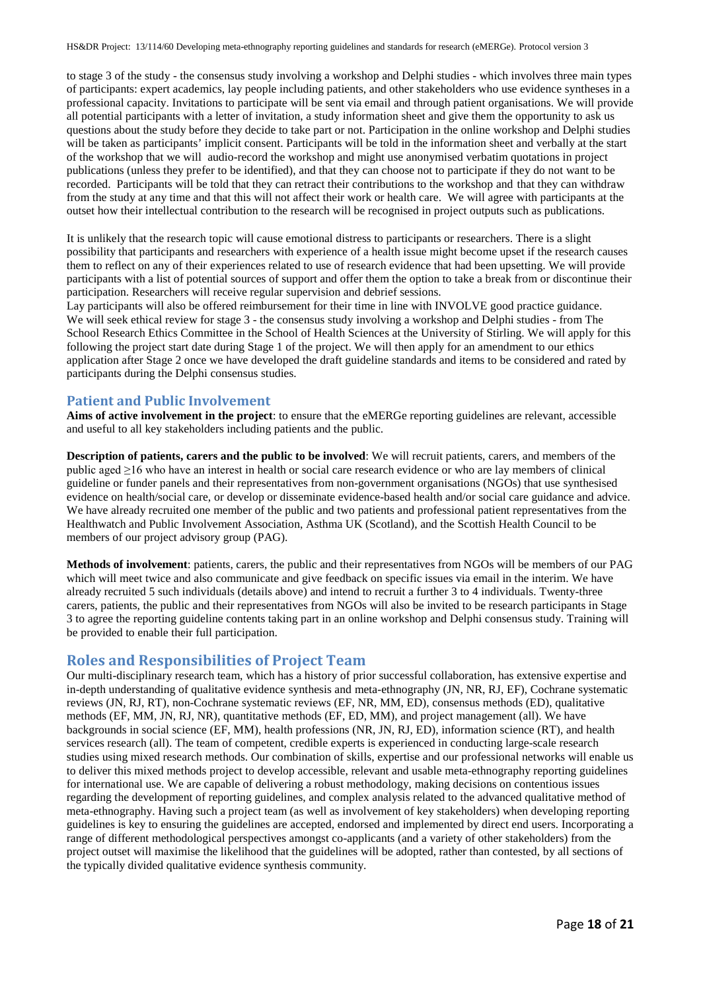to stage 3 of the study - the consensus study involving a workshop and Delphi studies - which involves three main types of participants: expert academics, lay people including patients, and other stakeholders who use evidence syntheses in a professional capacity. Invitations to participate will be sent via email and through patient organisations. We will provide all potential participants with a letter of invitation, a study information sheet and give them the opportunity to ask us questions about the study before they decide to take part or not. Participation in the online workshop and Delphi studies will be taken as participants' implicit consent. Participants will be told in the information sheet and verbally at the start of the workshop that we will audio-record the workshop and might use anonymised verbatim quotations in project publications (unless they prefer to be identified), and that they can choose not to participate if they do not want to be recorded. Participants will be told that they can retract their contributions to the workshop and that they can withdraw from the study at any time and that this will not affect their work or health care. We will agree with participants at the outset how their intellectual contribution to the research will be recognised in project outputs such as publications.

It is unlikely that the research topic will cause emotional distress to participants or researchers. There is a slight possibility that participants and researchers with experience of a health issue might become upset if the research causes them to reflect on any of their experiences related to use of research evidence that had been upsetting. We will provide participants with a list of potential sources of support and offer them the option to take a break from or discontinue their participation. Researchers will receive regular supervision and debrief sessions.

Lay participants will also be offered reimbursement for their time in line with INVOLVE good practice guidance. We will seek ethical review for stage 3 - the consensus study involving a workshop and Delphi studies - from The School Research Ethics Committee in the School of Health Sciences at the University of Stirling. We will apply for this following the project start date during Stage 1 of the project. We will then apply for an amendment to our ethics application after Stage 2 once we have developed the draft guideline standards and items to be considered and rated by participants during the Delphi consensus studies.

# **Patient and Public Involvement**

**Aims of active involvement in the project**: to ensure that the eMERGe reporting guidelines are relevant, accessible and useful to all key stakeholders including patients and the public.

**Description of patients, carers and the public to be involved**: We will recruit patients, carers, and members of the public aged ≥16 who have an interest in health or social care research evidence or who are lay members of clinical guideline or funder panels and their representatives from non-government organisations (NGOs) that use synthesised evidence on health/social care, or develop or disseminate evidence-based health and/or social care guidance and advice. We have already recruited one member of the public and two patients and professional patient representatives from the Healthwatch and Public Involvement Association, Asthma UK (Scotland), and the Scottish Health Council to be members of our project advisory group (PAG).

**Methods of involvement**: patients, carers, the public and their representatives from NGOs will be members of our PAG which will meet twice and also communicate and give feedback on specific issues via email in the interim. We have already recruited 5 such individuals (details above) and intend to recruit a further 3 to 4 individuals. Twenty-three carers, patients, the public and their representatives from NGOs will also be invited to be research participants in Stage 3 to agree the reporting guideline contents taking part in an online workshop and Delphi consensus study. Training will be provided to enable their full participation.

# **Roles and Responsibilities of Project Team**

Our multi-disciplinary research team, which has a history of prior successful collaboration, has extensive expertise and in-depth understanding of qualitative evidence synthesis and meta-ethnography (JN, NR, RJ, EF), Cochrane systematic reviews (JN, RJ, RT), non-Cochrane systematic reviews (EF, NR, MM, ED), consensus methods (ED), qualitative methods (EF, MM, JN, RJ, NR), quantitative methods (EF, ED, MM), and project management (all). We have backgrounds in social science (EF, MM), health professions (NR, JN, RJ, ED), information science (RT), and health services research (all). The team of competent, credible experts is experienced in conducting large-scale research studies using mixed research methods. Our combination of skills, expertise and our professional networks will enable us to deliver this mixed methods project to develop accessible, relevant and usable meta-ethnography reporting guidelines for international use. We are capable of delivering a robust methodology, making decisions on contentious issues regarding the development of reporting guidelines, and complex analysis related to the advanced qualitative method of meta-ethnography. Having such a project team (as well as involvement of key stakeholders) when developing reporting guidelines is key to ensuring the guidelines are accepted, endorsed and implemented by direct end users. Incorporating a range of different methodological perspectives amongst co-applicants (and a variety of other stakeholders) from the project outset will maximise the likelihood that the guidelines will be adopted, rather than contested, by all sections of the typically divided qualitative evidence synthesis community.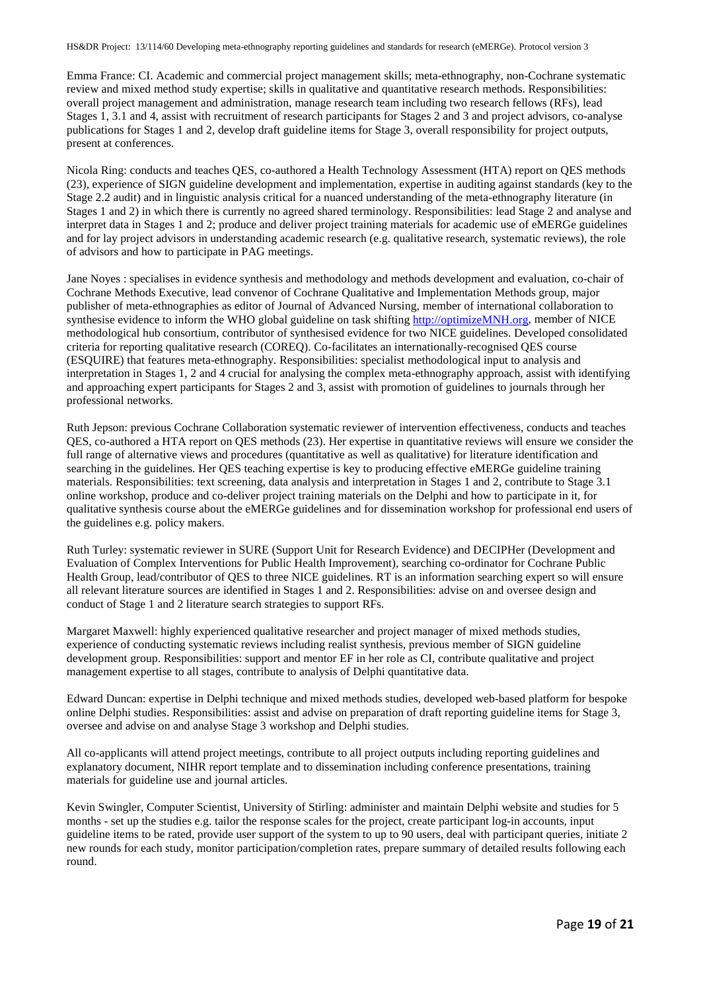Emma France: CI. Academic and commercial project management skills; meta-ethnography, non-Cochrane systematic review and mixed method study expertise; skills in qualitative and quantitative research methods. Responsibilities: overall project management and administration, manage research team including two research fellows (RFs), lead Stages 1, 3.1 and 4, assist with recruitment of research participants for Stages 2 and 3 and project advisors, co-analyse publications for Stages 1 and 2, develop draft guideline items for Stage 3, overall responsibility for project outputs, present at conferences.

Nicola Ring: conducts and teaches QES, co-authored a Health Technology Assessment (HTA) report on QES methods (23), experience of SIGN guideline development and implementation, expertise in auditing against standards (key to the Stage 2.2 audit) and in linguistic analysis critical for a nuanced understanding of the meta-ethnography literature (in Stages 1 and 2) in which there is currently no agreed shared terminology. Responsibilities: lead Stage 2 and analyse and interpret data in Stages 1 and 2; produce and deliver project training materials for academic use of eMERGe guidelines and for lay project advisors in understanding academic research (e.g. qualitative research, systematic reviews), the role of advisors and how to participate in PAG meetings.

Jane Noyes : specialises in evidence synthesis and methodology and methods development and evaluation, co-chair of Cochrane Methods Executive, lead convenor of Cochrane Qualitative and Implementation Methods group, major publisher of meta-ethnographies as editor of Journal of Advanced Nursing, member of international collaboration to synthesise evidence to inform the WHO global guideline on task shifting [http://optimizeMNH.org,](http://optimizemnh.org/) member of NICE methodological hub consortium, contributor of synthesised evidence for two NICE guidelines. Developed consolidated criteria for reporting qualitative research (COREQ). Co-facilitates an internationally-recognised QES course (ESQUIRE) that features meta-ethnography. Responsibilities: specialist methodological input to analysis and interpretation in Stages 1, 2 and 4 crucial for analysing the complex meta-ethnography approach, assist with identifying and approaching expert participants for Stages 2 and 3, assist with promotion of guidelines to journals through her professional networks.

Ruth Jepson: previous Cochrane Collaboration systematic reviewer of intervention effectiveness, conducts and teaches QES, co-authored a HTA report on QES methods (23). Her expertise in quantitative reviews will ensure we consider the full range of alternative views and procedures (quantitative as well as qualitative) for literature identification and searching in the guidelines. Her QES teaching expertise is key to producing effective eMERGe guideline training materials. Responsibilities: text screening, data analysis and interpretation in Stages 1 and 2, contribute to Stage 3.1 online workshop, produce and co-deliver project training materials on the Delphi and how to participate in it, for qualitative synthesis course about the eMERGe guidelines and for dissemination workshop for professional end users of the guidelines e.g. policy makers.

Ruth Turley: systematic reviewer in SURE (Support Unit for Research Evidence) and DECIPHer (Development and Evaluation of Complex Interventions for Public Health Improvement), searching co-ordinator for Cochrane Public Health Group, lead/contributor of QES to three NICE guidelines. RT is an information searching expert so will ensure all relevant literature sources are identified in Stages 1 and 2. Responsibilities: advise on and oversee design and conduct of Stage 1 and 2 literature search strategies to support RFs.

Margaret Maxwell: highly experienced qualitative researcher and project manager of mixed methods studies, experience of conducting systematic reviews including realist synthesis, previous member of SIGN guideline development group. Responsibilities: support and mentor EF in her role as CI, contribute qualitative and project management expertise to all stages, contribute to analysis of Delphi quantitative data.

Edward Duncan: expertise in Delphi technique and mixed methods studies, developed web-based platform for bespoke online Delphi studies. Responsibilities: assist and advise on preparation of draft reporting guideline items for Stage 3, oversee and advise on and analyse Stage 3 workshop and Delphi studies.

All co-applicants will attend project meetings, contribute to all project outputs including reporting guidelines and explanatory document, NIHR report template and to dissemination including conference presentations, training materials for guideline use and journal articles.

Kevin Swingler, Computer Scientist, University of Stirling: administer and maintain Delphi website and studies for 5 months - set up the studies e.g. tailor the response scales for the project, create participant log-in accounts, input guideline items to be rated, provide user support of the system to up to 90 users, deal with participant queries, initiate 2 new rounds for each study, monitor participation/completion rates, prepare summary of detailed results following each round.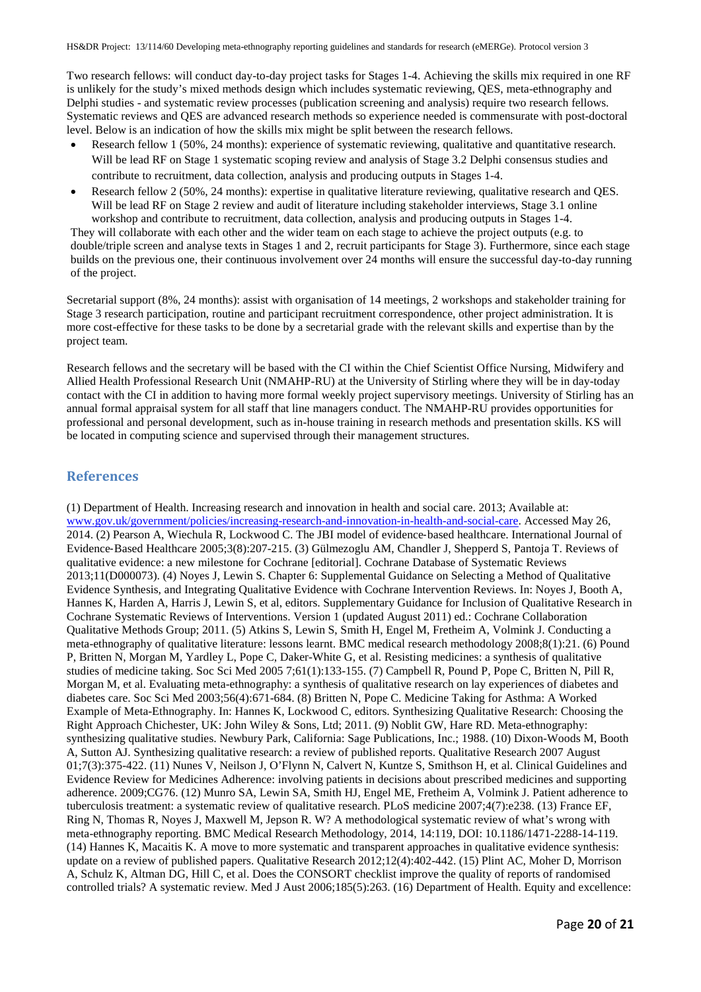Two research fellows: will conduct day-to-day project tasks for Stages 1-4. Achieving the skills mix required in one RF is unlikely for the study's mixed methods design which includes systematic reviewing, QES, meta-ethnography and Delphi studies - and systematic review processes (publication screening and analysis) require two research fellows. Systematic reviews and QES are advanced research methods so experience needed is commensurate with post-doctoral level. Below is an indication of how the skills mix might be split between the research fellows.

- Research fellow 1 (50%, 24 months): experience of systematic reviewing, qualitative and quantitative research. Will be lead RF on Stage 1 systematic scoping review and analysis of Stage 3.2 Delphi consensus studies and contribute to recruitment, data collection, analysis and producing outputs in Stages 1-4.
- Research fellow 2 (50%, 24 months): expertise in qualitative literature reviewing, qualitative research and QES. Will be lead RF on Stage 2 review and audit of literature including stakeholder interviews, Stage 3.1 online workshop and contribute to recruitment, data collection, analysis and producing outputs in Stages 1-4.

They will collaborate with each other and the wider team on each stage to achieve the project outputs (e.g. to double/triple screen and analyse texts in Stages 1 and 2, recruit participants for Stage 3). Furthermore, since each stage builds on the previous one, their continuous involvement over 24 months will ensure the successful day-to-day running of the project.

Secretarial support (8%, 24 months): assist with organisation of 14 meetings, 2 workshops and stakeholder training for Stage 3 research participation, routine and participant recruitment correspondence, other project administration. It is more cost-effective for these tasks to be done by a secretarial grade with the relevant skills and expertise than by the project team.

Research fellows and the secretary will be based with the CI within the Chief Scientist Office Nursing, Midwifery and Allied Health Professional Research Unit (NMAHP-RU) at the University of Stirling where they will be in day-today contact with the CI in addition to having more formal weekly project supervisory meetings. University of Stirling has an annual formal appraisal system for all staff that line managers conduct. The NMAHP-RU provides opportunities for professional and personal development, such as in-house training in research methods and presentation skills. KS will be located in computing science and supervised through their management structures.

# **References**

(1) Department of Health. Increasing research and innovation in health and social care. 2013; Available at: [www.gov.uk/government/policies/increasing-research-and-innovation-in-health-and-social-care.](http://www.gov.uk/government/policies/increasing-research-and-innovation-in-health-and-social-care) Accessed May 26, 2014. (2) Pearson A, Wiechula R, Lockwood C. The JBI model of evidence‐based healthcare. International Journal of Evidence‐Based Healthcare 2005;3(8):207-215. (3) Gülmezoglu AM, Chandler J, Shepperd S, Pantoja T. Reviews of qualitative evidence: a new milestone for Cochrane [editorial]. Cochrane Database of Systematic Reviews 2013;11(D000073). (4) Noyes J, Lewin S. Chapter 6: Supplemental Guidance on Selecting a Method of Qualitative Evidence Synthesis, and Integrating Qualitative Evidence with Cochrane Intervention Reviews. In: Noyes J, Booth A, Hannes K, Harden A, Harris J, Lewin S, et al, editors. Supplementary Guidance for Inclusion of Qualitative Research in Cochrane Systematic Reviews of Interventions. Version 1 (updated August 2011) ed.: Cochrane Collaboration Qualitative Methods Group; 2011. (5) Atkins S, Lewin S, Smith H, Engel M, Fretheim A, Volmink J. Conducting a meta-ethnography of qualitative literature: lessons learnt. BMC medical research methodology 2008;8(1):21. (6) Pound P, Britten N, Morgan M, Yardley L, Pope C, Daker-White G, et al. Resisting medicines: a synthesis of qualitative studies of medicine taking. Soc Sci Med 2005 7;61(1):133-155. (7) Campbell R, Pound P, Pope C, Britten N, Pill R, Morgan M, et al. Evaluating meta-ethnography: a synthesis of qualitative research on lay experiences of diabetes and diabetes care. Soc Sci Med 2003;56(4):671-684. (8) Britten N, Pope C. Medicine Taking for Asthma: A Worked Example of Meta-Ethnography. In: Hannes K, Lockwood C, editors. Synthesizing Qualitative Research: Choosing the Right Approach Chichester, UK: John Wiley & Sons, Ltd; 2011. (9) Noblit GW, Hare RD. Meta-ethnography: synthesizing qualitative studies. Newbury Park, California: Sage Publications, Inc.; 1988. (10) Dixon-Woods M, Booth A, Sutton AJ. Synthesizing qualitative research: a review of published reports. Qualitative Research 2007 August 01;7(3):375-422. (11) Nunes V, Neilson J, O'Flynn N, Calvert N, Kuntze S, Smithson H, et al. Clinical Guidelines and Evidence Review for Medicines Adherence: involving patients in decisions about prescribed medicines and supporting adherence. 2009;CG76. (12) Munro SA, Lewin SA, Smith HJ, Engel ME, Fretheim A, Volmink J. Patient adherence to tuberculosis treatment: a systematic review of qualitative research. PLoS medicine 2007;4(7):e238. (13) France EF, Ring N, Thomas R, Noyes J, Maxwell M, Jepson R. W? A methodological systematic review of what's wrong with meta-ethnography reporting. BMC Medical Research Methodology, 2014, 14:119, DOI: 10.1186/1471-2288-14-119. (14) Hannes K, Macaitis K. A move to more systematic and transparent approaches in qualitative evidence synthesis: update on a review of published papers. Qualitative Research 2012;12(4):402-442. (15) Plint AC, Moher D, Morrison A, Schulz K, Altman DG, Hill C, et al. Does the CONSORT checklist improve the quality of reports of randomised controlled trials? A systematic review. Med J Aust 2006;185(5):263. (16) Department of Health. Equity and excellence: